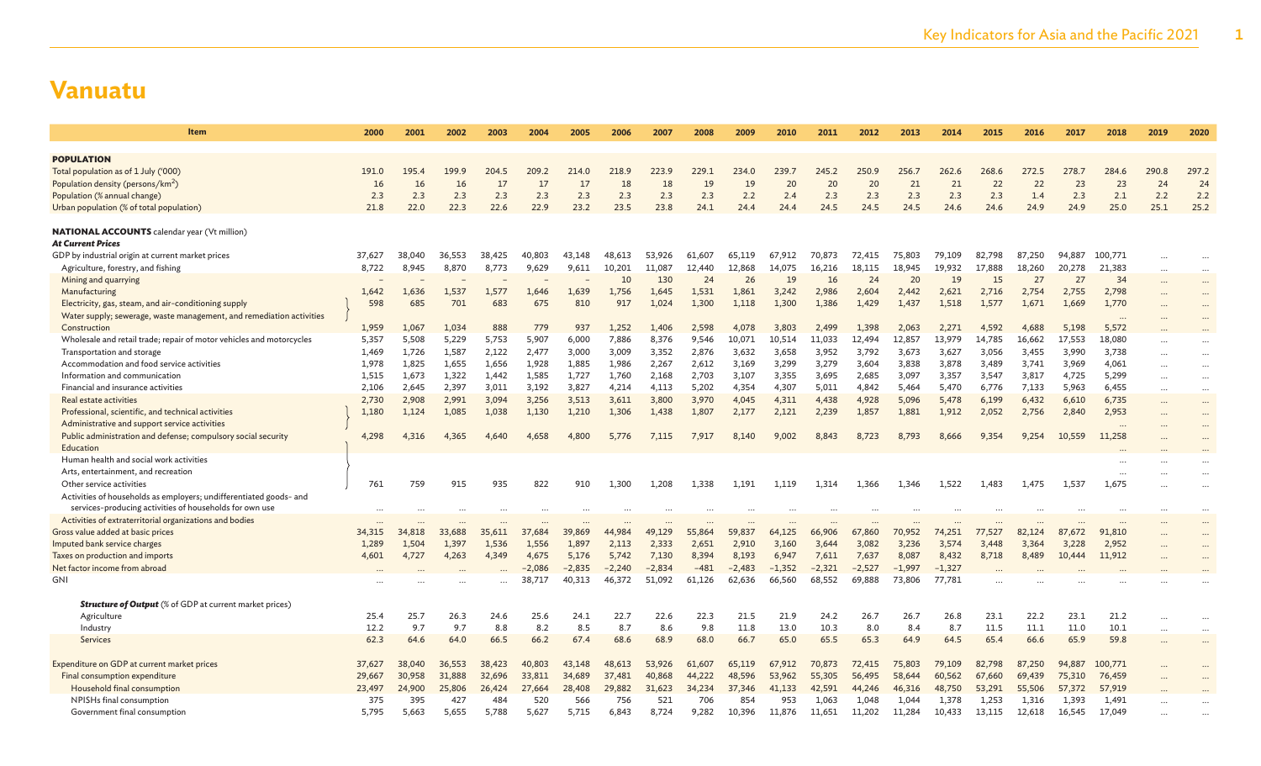| <b>Item</b>                                                                   | 2000   | 2001        | 2002        | 2003        | 2004        | 2005        | 2006     | 2007        | 2008        | 2009        | 2010     | 2011        | 2012      | 2013        | 2014        | 2015      | 2016      | 2017        | 2018      | 2019                | 2020        |
|-------------------------------------------------------------------------------|--------|-------------|-------------|-------------|-------------|-------------|----------|-------------|-------------|-------------|----------|-------------|-----------|-------------|-------------|-----------|-----------|-------------|-----------|---------------------|-------------|
|                                                                               |        |             |             |             |             |             |          |             |             |             |          |             |           |             |             |           |           |             |           |                     |             |
| <b>POPULATION</b>                                                             | 191.0  |             |             |             |             |             | 218.9    |             |             |             | 239.7    |             | 250.9     |             |             |           |           |             | 284.6     |                     |             |
| Total population as of 1 July ('000)                                          | 16     | 195.4<br>16 | 199.9<br>16 | 204.5<br>17 | 209.2<br>17 | 214.0<br>17 | 18       | 223.9<br>18 | 229.1<br>19 | 234.0<br>19 | 20       | 245.2<br>20 |           | 256.7<br>21 | 262.6<br>21 | 268.6     | 272.5     | 278.7<br>23 |           | 290.8               | 297.2<br>24 |
| Population density (persons/km <sup>2</sup> )<br>Population (% annual change) | 2.3    | 2.3         | 2.3         | 2.3         | 2.3         | 2.3         | 2.3      | 2.3         | 2.3         | 2.2         | 2.4      | 2.3         | 20<br>2.3 | 2.3         | 2.3         | 22<br>2.3 | 22<br>1.4 | 2.3         | 23<br>2.1 | 24<br>2.2           | 2.2         |
| Urban population (% of total population)                                      | 21.8   | 22.0        | 22.3        | 22.6        | 22.9        | 23.2        | 23.5     | 23.8        | 24.1        | 24.4        | 24.4     | 24.5        | 24.5      | 24.5        | 24.6        | 24.6      | 24.9      | 24.9        | 25.0      | 25.1                | 25.2        |
|                                                                               |        |             |             |             |             |             |          |             |             |             |          |             |           |             |             |           |           |             |           |                     |             |
| <b>NATIONAL ACCOUNTS</b> calendar year (Vt million)                           |        |             |             |             |             |             |          |             |             |             |          |             |           |             |             |           |           |             |           |                     |             |
| <b>At Current Prices</b>                                                      |        |             |             |             |             |             |          |             |             |             |          |             |           |             |             |           |           |             |           |                     |             |
| GDP by industrial origin at current market prices                             | 37,627 | 38,040      | 36,553      | 38,425      | 40,803      | 43.148      | 48,613   | 53,926      | 61,607      | 65,119      | 67.912   | 70,873      | 72,415    | 75,803      | 79,109      | 82,798    | 87.250    | 94,887      | 100,771   | $\cdots$            |             |
| Agriculture, forestry, and fishing                                            | 8,722  | 8,945       | 8,870       | 8,773       | 9,629       | 9,611       | 10,201   | 11,087      | 12,440      | 12,868      | 14,075   | 16,216      | 18,115    | 18,945      | 19,932      | 17,888    | 18,260    | 20,278      | 21,383    | $\ddots$            | $\cdots$    |
| Mining and quarrying                                                          |        |             |             |             |             |             | 10       | 130         | 24          | 26          | 19       | <b>16</b>   | 24        | 20          | 19          | 15        | 27        | 27          | 34        | $\cdots$            | $\cdots$    |
| Manufacturing                                                                 | 1,642  | 1,636       | 1,537       | 1,577       | 1,646       | 1,639       | 1,756    | 1,645       | 1,531       | 1,861       | 3,242    | 2,986       | 2,604     | 2,442       | 2,621       | 2,716     | 2,754     | 2,755       | 2,798     | $\ddotsc$           | $\cdots$    |
| Electricity, gas, steam, and air-conditioning supply                          | 598    | 685         | 701         | 683         | 675         | 810         | 917      | 1,024       | 1,300       | 1,118       | 1,300    | 1,386       | 1,429     | 1,437       | 1,518       | 1,577     | 1,671     | 1,669       | 1,770     |                     | $\cdots$    |
| Water supply; sewerage, waste management, and remediation activities          |        |             |             |             |             |             |          |             |             |             |          |             |           |             |             |           |           |             |           |                     |             |
| Construction                                                                  | 1,959  | 1,067       | 1,034       | 888         | 779         | 937         | 1.252    | 1.406       | 2.598       | 4.078       | 3.803    | 2,499       | 1,398     | 2.063       | 2,271       | 4,592     | 4.688     | 5,198       | 5,572     |                     |             |
| Wholesale and retail trade; repair of motor vehicles and motorcycles          | 5,357  | 5,508       | 5,229       | 5,753       | 5,907       | 6,000       | 7,886    | 8,376       | 9,546       | 10,071      | 10,514   | 11,033      | 12,494    | 12,857      | 13,979      | 14,785    | 16,662    | 17,553      | 18,080    | $\cdots$            | $\cdots$    |
| Transportation and storage                                                    | 1,469  | 1,726       | 1,587       | 2,122       | 2,477       | 3,000       | 3,009    | 3,352       | 2,876       | 3,632       | 3,658    | 3,952       | 3,792     | 3,673       | 3,627       | 3,056     | 3,455     | 3,990       | 3,738     | $\cdots$            | $\cdots$    |
| Accommodation and food service activities                                     | 1,978  | 1,825       | 1,655       | 1,656       | 1,928       | 1,885       | 1,986    | 2,267       | 2,612       | 3,169       | 3,299    | 3,279       | 3,604     | 3,838       | 3,878       | 3,489     | 3,741     | 3,969       | 4,061     | $\cdots$            | $\cdots$    |
| Information and communication                                                 | 1,515  | 1,673       | 1,322       | 1,442       | 1,585       | 1,727       | 1,760    | 2,168       | 2,703       | 3,107       | 3,355    | 3,695       | 2,685     | 3,097       | 3,357       | 3,547     | 3,817     | 4,725       | 5,299     | $\ddots$            | $\cdots$    |
| Financial and insurance activities                                            | 2,106  | 2,645       | 2,397       | 3,011       | 3,192       | 3,827       | 4,214    | 4,113       | 5,202       | 4,354       | 4,307    | 5,011       | 4,842     | 5,464       | 5,470       | 6,776     | 7,133     | 5.963       | 6,455     | $\cdots$            | $\cdots$    |
| Real estate activities                                                        | 2,730  | 2,908       | 2,991       | 3,094       | 3,256       | 3,513       | 3,611    | 3,800       | 3,970       | 4,045       | 4,311    | 4,438       | 4,928     | 5,096       | 5,478       | 6,199     | 6,432     | 6,610       | 6,735     | $\cdots$            | $\cdots$    |
| Professional, scientific, and technical activities                            | 1,180  | 1,124       | 1,085       | 1,038       | 1,130       | 1,210       | 1,306    | 1,438       | 1,807       | 2,177       | 2,121    | 2,239       | 1,857     | 1,881       | 1,912       | 2,052     | 2,756     | 2,840       | 2,953     | $\cdot \cdot \cdot$ | $\cdots$    |
| Administrative and support service activities                                 |        |             |             |             |             |             |          |             |             |             |          |             |           |             |             |           |           |             | $\cdots$  |                     | $\cdots$    |
| Public administration and defense; compulsory social security                 | 4,298  | 4,316       | 4,365       | 4,640       | 4,658       | 4,800       | 5,776    | 7,115       | 7,917       | 8,140       | 9,002    | 8,843       | 8,723     | 8,793       | 8,666       | 9,354     | 9,254     | 10,559      | 11,258    |                     |             |
| Education<br>Human health and social work activities                          |        |             |             |             |             |             |          |             |             |             |          |             |           |             |             |           |           |             |           |                     |             |
| Arts, entertainment, and recreation                                           |        |             |             |             |             |             |          |             |             |             |          |             |           |             |             |           |           |             |           |                     |             |
| Other service activities                                                      | 761    | 759         | 915         | 935         | 822         | 910         | 1.300    | 1,208       | 1,338       | 1,191       | 1.119    | 1,314       | 1,366     | 1,346       | 1,522       | 1,483     | 1.475     | 1.537       | <br>1,675 |                     |             |
| Activities of households as employers; undifferentiated goods- and            |        |             |             |             |             |             |          |             |             |             |          |             |           |             |             |           |           |             |           |                     |             |
| services-producing activities of households for own use                       |        |             |             |             |             |             |          |             |             |             |          |             |           |             |             |           |           |             |           |                     |             |
| Activities of extraterritorial organizations and bodies                       |        |             |             |             |             |             |          |             |             |             |          |             |           |             |             |           |           |             |           |                     |             |
| Gross value added at basic prices                                             | 34,315 | 34,818      | 33,688      | 35,611      | 37,684      | 39,869      | 44,984   | 49,129      | 55,864      | 59,837      | 64.125   | 66,906      | 67,860    | 70,952      | 74.251      | 77.527    | 82,124    | 87<br>.672  | 91,810    |                     |             |
| Imputed bank service charges                                                  | 1,289  | 1,504       | 1,397       | 1,536       | 1,556       | 1,897       | 2,113    | 2,333       | 2,651       | 2,910       | 3,160    | 3,644       | 3,082     | 3,236       | 3,574       | 3,448     | 3,364     | 3,228       | 2,952     |                     | $\cdots$    |
| Taxes on production and imports                                               | 4,601  | 4,727       | 4,263       | 4,349       | 4,675       | 5,176       | 5,742    | 7,130       | 8,394       | 8,193       | 6,947    | 7,611       | 7,637     | 8,087       | 8,432       | 8,718     | 8,489     | 10,444      | 11,912    |                     |             |
| Net factor income from abroad                                                 |        |             |             |             | $-2,086$    | $-2.835$    | $-2,240$ | $-2.834$    | $-481$      | $-2,483$    | $-1.352$ | $-2.321$    | $-2,527$  | $-1.997$    | $-1.327$    |           |           |             |           |                     |             |
| GNI                                                                           |        |             |             |             | 38,717      | 40,313      | 46,372   | 51,092      | 61,126      | 62,636      | 66,560   | 68,552      | 69,888    | 73,806      | 77,781      |           |           |             |           |                     |             |
|                                                                               |        |             |             |             |             |             |          |             |             |             |          |             |           |             |             |           |           |             |           |                     |             |
| <b>Structure of Output</b> (% of GDP at current market prices)                |        |             |             |             |             |             |          |             |             |             |          |             |           |             |             |           |           |             |           |                     |             |
| Agriculture                                                                   | 25.4   | 25.7        | 26.3        | 24.6        | 25.6        | 24.1        | 22.7     | 22.6        | 22.3        | 21.5        | 21.9     | 24.2        | 26.7      | 26.7        | 26.8        | 23.1      | 22.2      | 23.1        | 21.2      | $\ddots$            |             |
| Industry                                                                      | 12.2   | 9.7         | 9.7         | 8.8         | 8.2         | 8.5         | 8.7      | 8.6         | 9.8         | 11.8        | 13.0     | 10.3        | 8.0       | 8.4         | 8.7         | 11.5      | 11.1      | 11.0        | 10.1      | $\ddotsc$           | $\ddotsc$   |
| <b>Services</b>                                                               | 62.3   | 64.6        | 64.0        | 66.5        | 66.2        | 67.4        | 68.6     | 68.9        | 68.0        | 66.7        | 65.0     | 65.5        | 65.3      | 64.9        | 64.5        | 65.4      | 66.6      | 65.9        | 59.8      | $\ddots$            | $\cdots$    |
| Expenditure on GDP at current market prices                                   | 37,627 | 38,040      | 36,553      | 38,423      | 40,803      | 43,148      | 48,613   | 53,926      | 61,607      | 65,119      | 67.912   | 70,873      | 72,415    | 75,803      | 79,109      | 82,798    | 87,250    | 94,887      | 100,771   |                     |             |
| Final consumption expenditure                                                 | 29,667 | 30,958      | 31,888      | 32,696      | 33,811      | 34,689      | 37,481   | 40,868      | 44,222      | 48,596      | 53,962   | 55,305      | 56,495    | 58,644      | 60,562      | 67,660    | 69,439    | 75,310      | 76,459    | $\ddotsc$           |             |
| Household final consumption                                                   | 23,497 | 24,900      | 25,806      | 26,424      | 27,664      | 28,408      | 29,882   | 31,623      | 34,234      | 37,346      | 41,133   | 42,591      | 44,246    | 46,316      | 48,750      | 53,291    | 55,506    | 57,372      | 57,919    |                     |             |
| NPISHs final consumption                                                      | 375    | 395         | 427         | 484         | 520         | 566         | 756      | 521         | 706         | 854         | 953      | 1,063       | 1,048     | 1,044       | 1,378       | 1,253     | 1,316     | 1.393       | 1,491     |                     |             |
| Government final consumption                                                  | 5,795  | 5,663       | 5,655       | 5,788       | 5,627       | 5,715       | 6,843    | 8,724       | 9,282       | 10,396      | 11,876   | 11,651      | 11,202    | 11,284      | 10,433      | 13,115    | 12,618    | 16,545      | 17,049    |                     |             |
|                                                                               |        |             |             |             |             |             |          |             |             |             |          |             |           |             |             |           |           |             |           |                     |             |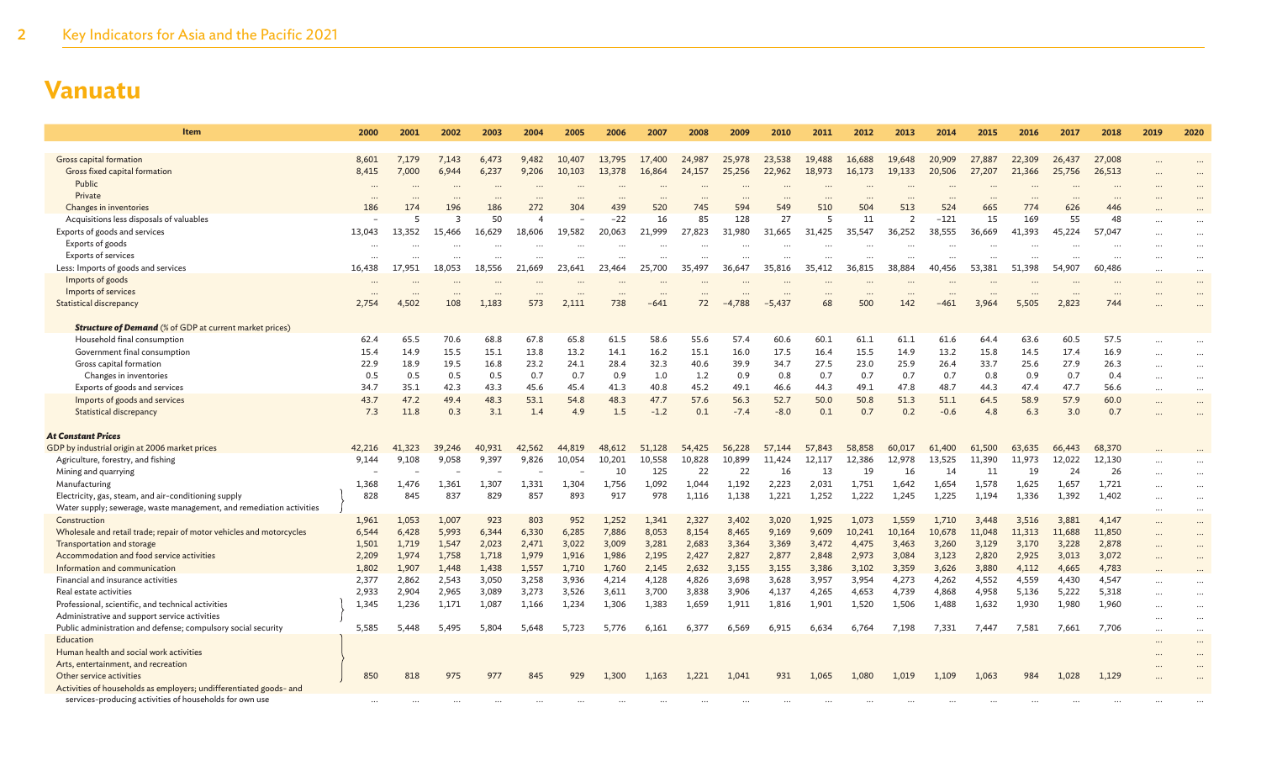| Item                                                                 | 2000     | 2001     | 2002            | 2003     | 2004     | 2005             | 2006     | 2007            | 2008             | 2009            | 2010            | 2011            | 2012     | 2013            | 2014   | 2015    | 2016            | 2017      | 2018     | 2019      | 2020      |
|----------------------------------------------------------------------|----------|----------|-----------------|----------|----------|------------------|----------|-----------------|------------------|-----------------|-----------------|-----------------|----------|-----------------|--------|---------|-----------------|-----------|----------|-----------|-----------|
|                                                                      |          |          |                 |          |          |                  |          |                 |                  |                 |                 |                 |          |                 |        |         |                 |           |          |           |           |
| Gross capital formation                                              | 8.601    | 7.179    | 7.143           | 6.473    | 9.482    | 10,407           | 13.795   | 17,400          | 24,987           | 25,978          | 23,538          | 19,488          | 16,688   | 19,648          | 20,909 | 27,887  | 22,309          | 26,437    | 27,008   |           |           |
| Gross fixed capital formation                                        | 8,415    | 7,000    | 6,944           | 6,237    | 9,206    | 10,103           | 13,378   | 16,864          | 24,157           | 25,256          | 22,962          | 18,973          | 16,173   | 19,133          | 20,506 | 27,207  | 21,366          | 25,756    | 26,513   |           |           |
| Public<br>Private                                                    | $\cdots$ |          | $\cdots$        | $\cdots$ |          |                  |          | $\ddotsc$       |                  | $\cdots$        |                 |                 |          |                 |        |         | $\cdots$        |           |          |           |           |
| Changes in inventories                                               | <br>186  | 174      | $\cdots$<br>196 | <br>186  | 272      | 304              | <br>439  | $\cdots$<br>520 | 745              | $\cdots$<br>594 | $\cdots$<br>549 | $\cdots$<br>510 | <br>504  | $\cdots$<br>513 | 524    | <br>665 | $\cdots$<br>774 | <br>626   | <br>446  |           |           |
| Acquisitions less disposals of valuables                             |          | 5        | 3               | 50       | $\angle$ |                  | $-22$    | 16              | 85               | 128             | 27              | 5               | 11       | $\overline{2}$  | $-121$ | 15      | 169             | 55        | 48       |           |           |
| Exports of goods and services                                        | 13,043   | 13,352   | 15,466          | 16,629   | 18,606   | 19.582           | 20.063   | 21.999          | 27,823           | 31,980          | 31.665          | 31,425          | 35.547   | 36,252          | 38,555 | 36,669  | 41,393          | 45.224    | 57,047   |           |           |
| Exports of goods                                                     | $\ddots$ |          |                 |          |          |                  |          |                 |                  |                 |                 |                 |          |                 |        |         |                 |           |          |           | $\ddotsc$ |
| Exports of services                                                  | $\cdots$ |          |                 |          |          |                  |          |                 |                  |                 |                 |                 |          |                 |        |         |                 |           |          | $\ddots$  | $\ddotsc$ |
| Less: Imports of goods and services                                  | 16,438   | 17.951   | 18,053          | 18,556   | 21,669   | 23.641           | 23,464   | 25,700          | 35,497           | 36,647          | 35,816          | 35,412          | 36,815   | 38,884          | 40,456 | 53,381  | 51.398          | 54,907    | 60,486   | $\cdots$  | $\cdots$  |
| Imports of goods                                                     | $\cdots$ |          |                 |          |          |                  |          |                 |                  |                 |                 |                 |          |                 |        |         |                 |           |          | $\cdots$  | $\cdots$  |
| Imports of services                                                  |          | $\cdots$ | $\cdots$        | $\cdots$ | $\ddots$ | $\cdots$         | $\cdots$ |                 | $\cdots$         |                 | $\cdots$        | $\cdots$        | $\cdots$ | $\ddots$        |        |         | $\cdots$        | $\ddotsc$ | $\cdots$ |           | $\ddotsc$ |
| <b>Statistical discrepancy</b>                                       | 2,754    | 4.502    | 108             | 1.183    | 573      | 2.111            | 738      | $-641$          | 72               | $-4.788$        | -5.437          | 68              | 500      | 142             | $-461$ | 3,964   | 5.505           | 2,823     | 744      |           |           |
| <b>Structure of Demand</b> (% of GDP at current market prices)       |          |          |                 |          |          |                  |          |                 |                  |                 |                 |                 |          |                 |        |         |                 |           |          |           |           |
| Household final consumption                                          | 62.4     | 65.5     | 70.6            | 68.8     | 67.8     | 65.8             | 61.5     | 58.6            | 55.6             | 57.4            | 60.6            | 60.1            | 61.1     | 61.1            | 61.6   | 64.4    | 63.6            | 60.5      | 57.5     |           |           |
| Government final consumption                                         | 15.4     | 14.9     | 15.5            | 15.1     | 13.8     | 13.2             | 14.1     | 16.2            | 15.1             | 16.0            | 17.5            | 16.4            | 15.5     | 14.9            | 13.2   | 15.8    | 14.5            | 17.4      | 16.9     |           | $\ddotsc$ |
| Gross capital formation                                              | 22.9     | 18.9     | 19.5            | 16.8     | 23.2     | 24.1             | 28.4     | 32.3            | 40.6             | 39.9            | 34.7            | 27.5            | 23.0     | 25.9            | 26.4   | 33.7    | 25.6            | 27.9      | 26.3     | $\cdots$  | $\ddotsc$ |
| Changes in inventories                                               | 0.5      | 0.5      | 0.5             | 0.5      | 0.7      | 0.7              | 0.9      | 1.0             | 1.2              | 0.9             | 0.8             | 0.7             | 0.7      | 0.7             | 0.7    | 0.8     | 0.9             | 0.7       | 0.4      | $\cdots$  | $\cdots$  |
| Exports of goods and services                                        | 34.7     | 35.1     | 42.3            | 43.3     | 45.6     | 45.4             | 41.3     | 40.8            | 45.2             | 49.1            | 46.6            | 44.3            | 49.1     | 47.8            | 48.7   | 44.3    | 47.4            | 47.7      | 56.6     |           | $\cdots$  |
| Imports of goods and services                                        | 43.7     | 47.2     | 49.4            | 48.3     | 53.1     | 54.8             | 48.3     | 47.7            | 57.6             | 56.3            | 52.7            | 50.0            | 50.8     | 51.3            | 51.1   | 64.5    | 58.9            | 57.9      | 60.0     | $\ddotsc$ | $\cdots$  |
| Statistical discrepancy                                              | 7.3      | 11.8     | 0.3             | 3.1      | 1.4      | 4.9              | 1.5      | $-1.2$          | 0.1              | $-7.4$          | $-8.0$          | 0.1             | 0.7      | 0.2             | $-0.6$ | 4.8     | 6.3             | 3.0       | 0.7      |           |           |
| <b>At Constant Prices</b>                                            |          |          |                 |          |          |                  |          |                 |                  |                 |                 |                 |          |                 |        |         |                 |           |          |           |           |
| GDP by industrial origin at 2006 market prices                       | 42,216   | 41,323   |                 | 40,931   | 42,562   |                  | 48,612   | 51,128          |                  | 56,228          | 57,144          | 57,843          | 58,858   | 60,017          | 61,400 | 61,500  | 63,635          | 66,443    | 68,370   |           |           |
| Agriculture, forestry, and fishing                                   | 9,144    | 9,108    | 39,246<br>9,058 | 9,397    | 9,826    | 44,819<br>10,054 | 10,201   | 10,558          | 54,425<br>10,828 | 10,899          | 11,424          | 12,117          | 12,386   | 12,978          | 13,525 | 11,390  | 11,973          | 12,022    | 12,130   |           |           |
| Mining and quarrying                                                 |          |          |                 |          |          |                  | 10       | 125             | 22               | 22              | 16              | 13              | 19       | 16              | 14     | 11      | 19              | 24        | 26       | $\cdots$  | $\ddotsc$ |
| Manufacturing                                                        | 1,368    | 1,476    | 1,361           | 1,307    | 1,331    | 1,304            | 1,756    | 1,092           | 1,044            | 1,192           | 2,223           | 2,031           | 1,751    | 1,642           | 1,654  | 1,578   | 1,625           | 1,657     | 1,721    | $\cdots$  | $\ddotsc$ |
| Electricity, gas, steam, and air-conditioning supply                 | 828      | 845      | 837             | 829      | 857      | 893              | 917      | 978             | 1.116            | 1.138           | 1,221           | 1,252           | 1,222    | 1.245           | 1,225  | 1,194   | 1.336           | 1,392     | 1.402    |           | $\cdots$  |
| Water supply; sewerage, waste management, and remediation activities |          |          |                 |          |          |                  |          |                 |                  |                 |                 |                 |          |                 |        |         |                 |           |          |           |           |
| Construction                                                         | 1,961    | 1,053    | 1,007           | 923      | 803      | 952              | 1,252    | 1,341           | 2,327            | 3,402           | 3,020           | 1,925           | 1,073    | 1,559           | 1,710  | 3,448   | 3,516           | 3,881     | 4,147    |           |           |
| Wholesale and retail trade; repair of motor vehicles and motorcycles | 6,544    | 6,428    | 5,993           | 6,344    | 6,330    | 6,285            | 7,886    | 8,053           | 8,154            | 8,465           | 9,169           | 9,609           | 10,241   | 10,164          | 10,678 | 11,048  | 11,313          | 11,688    | 11,850   |           | $\ddotsc$ |
| Transportation and storage                                           | 1,501    | 1,719    | 1,547           | 2,023    | 2,471    | 3,022            | 3,009    | 3,281           | 2,683            | 3,364           | 3,369           | 3,472           | 4,475    | 3,463           | 3,260  | 3,129   | 3,170           | 3,228     | 2,878    |           |           |
| Accommodation and food service activities                            | 2,209    | 1,974    | 1,758           | 1,718    | 1,979    | 1,916            | 1,986    | 2,195           | 2,427            | 2,827           | 2,877           | 2,848           | 2,973    | 3,084           | 3,123  | 2,820   | 2,925           | 3,013     | 3,072    |           |           |
| Information and communication                                        | 1,802    | 1,907    | 1,448           | 1,438    | 1,557    | 1,710            | 1,760    | 2,145           | 2,632            | 3,155           | 3,155           | 3,386           | 3,102    | 3,359           | 3,626  | 3,880   | 4,112           | 4,665     | 4,783    |           |           |
| Financial and insurance activities                                   | 2,377    | 2,862    | 2,543           | 3,050    | 3,258    | 3,936            | 4,214    | 4,128           | 4,826            | 3,698           | 3,628           | 3,957           | 3,954    | 4,273           | 4,262  | 4,552   | 4,559           | 4,430     | 4,547    | $\cdots$  |           |
| Real estate activities                                               | 2,933    | 2,904    | 2,965           | 3,089    | 3,273    | 3,526            | 3,611    | 3,700           | 3,838            | 3,906           | 4,137           | 4,265           | 4,653    | 4,739           | 4,868  | 4,958   | 5,136           | 5,222     | 5,318    | $\cdots$  | $\ddotsc$ |
| Professional, scientific, and technical activities                   | 1,345    | 1,236    | 1,171           | 1,087    | 1,166    | 1,234            | 1,306    | 1,383           | 1,659            | 1,911           | 1,816           | 1,901           | 1,520    | 1,506           | 1,488  | 1,632   | 1,930           | 1,980     | 1,960    |           |           |
| Administrative and support service activities                        |          |          |                 |          |          |                  |          |                 |                  |                 |                 |                 |          |                 |        |         |                 |           |          | $\cdots$  |           |
| Public administration and defense; compulsory social security        | 5,585    | 5,448    | 5.495           | 5.804    | 5.648    | 5,723            | 5,776    | 6,161           | 6,377            | 6,569           | 6,915           | 6,634           | 6,764    | 7,198           | 7,331  | 7,447   | 7,581           | 7,661     | 7,706    |           | $\ddotsc$ |
| Education                                                            |          |          |                 |          |          |                  |          |                 |                  |                 |                 |                 |          |                 |        |         |                 |           |          |           |           |
| Human health and social work activities                              |          |          |                 |          |          |                  |          |                 |                  |                 |                 |                 |          |                 |        |         |                 |           |          |           |           |
| Arts, entertainment, and recreation<br>Other service activities      | 850      | 818      | 975             | 977      | 845      | 929              | 1.300    | 1,163           | 1,221            | 1.041           | 931             | 1.065           | 1.080    | 1.019           | 1,109  | 1,063   | 984             | 1.028     | 1,129    |           |           |
| Activities of households as employers; undifferentiated goods- and   |          |          |                 |          |          |                  |          |                 |                  |                 |                 |                 |          |                 |        |         |                 |           |          |           |           |
| services-producing activities of households for own use              |          |          |                 |          |          |                  |          |                 |                  |                 |                 |                 |          |                 |        |         |                 |           |          |           |           |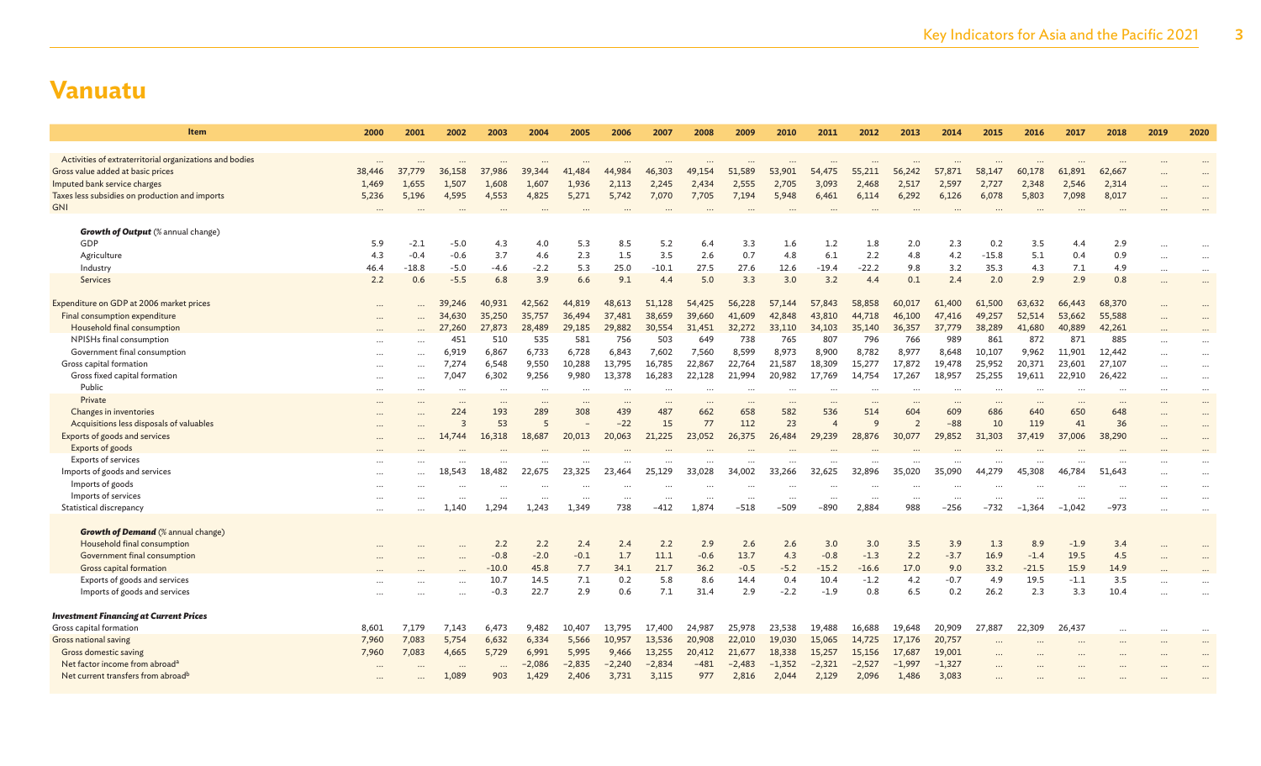| <b>Item</b>                                             | 2000        | 2001              | 2002                    | 2003                              | 2004          | 2005       | 2006        | 2007               | 2008              | 2009        | 2010        | 2011               | 2012              | 2013       | 2014       | 2015            | 2016                  | 2017                 | 2018       | 2019      | 2020      |
|---------------------------------------------------------|-------------|-------------------|-------------------------|-----------------------------------|---------------|------------|-------------|--------------------|-------------------|-------------|-------------|--------------------|-------------------|------------|------------|-----------------|-----------------------|----------------------|------------|-----------|-----------|
| Activities of extraterritorial organizations and bodies |             |                   |                         |                                   |               |            |             |                    |                   |             |             |                    |                   |            |            |                 |                       |                      |            |           |           |
| Gross value added at basic prices                       | 38,446      | 37,779            | 36,158                  | 37,986                            | 39,344        | 41,484     | 44,984      | 46,303             | 49,154            | 51,589      | 53,901      | 54,475             | 55,211            | 56,242     | 57,871     | 58,147          | 60,178                | 61,891               | 62,667     |           |           |
| Imputed bank service charges                            | 1,469       | 1,655             | 1,507                   | 1,608                             | 1,607         | 1,936      | 2,113       | 2,245              | 2,434             | 2,555       | 2,705       | 3,093              | 2,468             | 2,517      | 2,597      | 2,727           | 2,348                 | 2,546                | 2,314      |           |           |
| Taxes less subsidies on production and imports          | 5,236       | 5,196             | 4,595                   | 4,553                             | 4,825         | 5,271      | 5,742       | 7,070              | 7,705             | 7,194       | 5,948       | 6,461              | 6,114             | 6,292      | 6,126      | 6,078           | 5,803                 | 7,098                | 8,017      |           |           |
| <b>GNI</b>                                              |             |                   |                         |                                   |               |            |             |                    |                   |             |             |                    |                   |            |            |                 |                       |                      |            |           |           |
|                                                         |             |                   |                         |                                   |               |            |             |                    |                   |             |             |                    |                   |            |            |                 |                       |                      |            |           |           |
| <b>Growth of Output</b> (% annual change)               |             |                   |                         |                                   |               |            |             |                    |                   |             |             |                    |                   |            |            |                 |                       |                      |            |           |           |
| GDP                                                     | 5.9         | $-2.1$            | $-5.0$                  | 4.3                               | 4.0           | 5.3        | 8.5         | 5.2<br>3.5         | 6.4<br>2.6        | 3.3         | 1.6         | 1.2<br>6.1         | 1.8<br>2.2        | 2.0        | 2.3        | 0.2             | 3.5                   | 4.4                  | 2.9<br>0.9 |           |           |
| Agriculture                                             | 4.3<br>46.4 | $-0.4$<br>$-18.8$ | $-0.6$<br>$-5.0$        | 3.7                               | 4.6<br>$-2.2$ | 2.3<br>5.3 | 1.5         | $-10.1$            | 27.5              | 0.7<br>27.6 | 4.8         | $-19.4$            | $-22.2$           | 4.8        | 4.2<br>3.2 | $-15.8$<br>35.3 | 5.1<br>4.3            | 0.4<br>7.1           |            | $\cdots$  |           |
| Industry<br>Services                                    | 2.2         | 0.6               | $-5.5$                  | -4.6<br>6.8                       | 3.9           | 6.6        | 25.0<br>9.1 | 4.4                | 5.0               | 3.3         | 12.6<br>3.0 | 3.2                | 4.4               | 9.8<br>0.1 | 2.4        | 2.0             | 2.9                   | 2.9                  | 4.9<br>0.8 | $\ddots$  | $\cdots$  |
|                                                         |             |                   |                         |                                   |               |            |             |                    |                   |             |             |                    |                   |            |            |                 |                       |                      |            |           |           |
| Expenditure on GDP at 2006 market prices                | $\cdots$    |                   | 39,246                  | 40,931                            | 42,562        | 44,819     | 48,613      | 51,128             | 54,425            | 56,228      | 57,144      | 57,843             | 58,858            | 60,017     | 61,400     | 61,500          | 63,632                | 66,443               | 68,370     | $\ddotsc$ |           |
| Final consumption expenditure                           | $\cdots$    |                   | 34,630                  | 35,250                            | 35,757        | 36,494     | 37,481      | 38,659             | 39,660            | 41,609      | 42,848      | 43,810             | 44,718            | 46,100     | 47,416     | 49,257          | 52,514                | 53,662               | 55,588     | $\ddots$  |           |
| Household final consumption                             |             |                   | 27,260                  | 27,873                            | 28,489        | 29,185     | 29,882      | 30,554             | 31,451            | 32,272      | 33,110      | 34,103             | 35,140            | 36,357     | 37,779     | 38,289          | 41,680                | 40,889               | 42,261     |           |           |
| NPISHs final consumption                                | $\cdots$    |                   | 451                     | 510                               | 535           | 581        | 756         | 503                | 649               | 738         | 765         | 807                | 796               | 766        | 989        | 861             | 872                   | 871                  | 885        | $\ddots$  |           |
| Government final consumption                            |             |                   | 6,919                   | 6.867                             | 6,733         | 6,728      | 6,843       | 7,602              | 7,560             | 8,599       | 8,973       | 8,900              | 8,782             | 8,977      | 8.648      | 10,107          | 9,962                 | 11.901               | 12,442     | $\ddots$  | $\ddotsc$ |
| Gross capital formation                                 | $\ddotsc$   | .                 | 7,274                   | 6,548                             | 9,550         | 10,288     | 13,795      | 16,785             | 22,867            | 22,764      | 21,587      | 18,309             | 15,277            | 17,872     | 19,478     | 25,952          | 20,371                | 23,601               | 27,107     | $\ddots$  | $\cdots$  |
| Gross fixed capital formation                           |             |                   | 7,047                   | 6,302                             | 9,256         | 9,980      | 13,378      | 16,283             | 22,128            | 21,994      | 20,982      | 17,769             | 14,754            | 17,267     | 18,957     | 25,255          | 19,611                | 22,910               | 26,422     | $\cdots$  | $\cdots$  |
| Public                                                  | $\cdots$    | $\cdots$          | $\cdots$                |                                   | $\cdots$      | $\cdots$   |             | $\cdots$           | $\cdots$          |             | $\ddotsc$   | $\cdots$           | $\cdots$          | $\ddotsc$  | $\cdots$   |                 |                       | $\cdots$             |            | $\cdots$  | $\cdots$  |
| Private                                                 |             |                   | $\cdots$                |                                   |               | $\cdots$   | $\ddots$    | $\cdots$           | $\cdots$          | $\cdots$    |             | $\cdots$           | $\cdots$          |            |            |                 |                       | $\cdots$             | $\cdots$   | $\cdots$  | $\cdots$  |
| Changes in inventories                                  | $\cdots$    |                   | 224                     | 193                               | 289           | 308        | 439         | 487                | 662               | 658         | 582         | 536                | 514               | 604        | 609        | 686             | 640                   | 650                  | 648        | $\ddotsc$ | $\cdots$  |
| Acquisitions less disposals of valuables                |             |                   | $\overline{\mathbf{3}}$ | 53                                | 5             |            | $-22$       | 15                 | 77                | 112         | 23          | $\overline{4}$     | $\mathsf{Q}$      |            | $-88$      | 10              | 119                   | 41                   | 36         |           |           |
| Exports of goods and services                           |             |                   | 14,744                  | 16,318                            | 18,687        | 20,013     | 20,063      | 21,225             | 23,052            | 26,375      | 26,484      | 29,239             | 28,876            | 30,077     | 29,852     | 31,303          | 37,419                | 37,006               | 38,290     |           |           |
| Exports of goods                                        |             |                   |                         |                                   |               |            |             |                    |                   |             |             |                    |                   |            |            |                 |                       |                      |            |           |           |
| Exports of services                                     |             |                   |                         |                                   |               |            |             |                    |                   |             |             |                    |                   |            |            |                 |                       |                      |            |           |           |
| Imports of goods and services                           | $\cdots$    |                   | 18,543                  | 18,482                            | 22,675        | 23,325     | 23,464      | 25,129             | 33,028            | 34,002      | 33,266      | 32,625             | 32,896            | 35,020     | 35,090     | 44,279          | 45,308                | 46,784               | 51,643     |           |           |
| Imports of goods<br>Imports of services                 |             |                   | $\cdots$                | $\cdots$                          |               |            |             |                    |                   |             |             |                    | $\cdots$          |            |            |                 |                       |                      |            |           | $\ldots$  |
| Statistical discrepancy                                 | $\cdots$    |                   | $\cdots$<br>1.140       | $\overline{\phantom{a}}$<br>1.294 | 1.243         | <br>1.349  | <br>738     | $\cdots$<br>$-412$ | $\cdots$<br>1,874 | <br>$-518$  | <br>$-509$  | $\cdots$<br>$-890$ | $\cdots$<br>2,884 | <br>988    | <br>$-256$ | <br>$-732$      | $\ddotsc$<br>$-1.364$ | $\cdots$<br>$-1.042$ | <br>$-973$ | $\cdots$  | $\cdots$  |
|                                                         |             |                   |                         |                                   |               |            |             |                    |                   |             |             |                    |                   |            |            |                 |                       |                      |            |           |           |
| <b>Growth of Demand</b> (% annual change)               |             |                   |                         |                                   |               |            |             |                    |                   |             |             |                    |                   |            |            |                 |                       |                      |            |           |           |
| Household final consumption                             |             |                   |                         | 2.2                               | 2.2           | 2.4        | 2.4         | 2.2                | 2.9               | 2.6         | 2.6         | 3.0                | 3.0               | 3.5        | 3.9        | 1.3             | 8.9                   | $-1.9$               | 3.4        |           |           |
| Government final consumption                            |             |                   |                         | $-0.8$                            | $-2.0$        | $-0.1$     | 1.7         | 11.1               | $-0.6$            | 13.7        | 4.3         | $-0.8$             | $-1.3$            | 2.2        | $-3.7$     | 16.9            | $-1.4$                | 19.5                 | 4.5        |           |           |
| Gross capital formation                                 |             |                   |                         | $-10.0$                           | 45.8          | 7.7        | 34.1        | 21.7               | 36.2              | $-0.5$      | $-5.2$      | $-15.2$            | $-16.6$           | 17.0       | 9.0        | 33.2            | $-21.5$               | 15.9                 | 14.9       |           |           |
| Exports of goods and services                           |             |                   |                         | 10.7                              | 14.5          | 7.1        | 0.2         | 5.8                | 8.6               | 14.4        | 0.4         | 10.4               | $-1.2$            | 4.2        | $-0.7$     | 4.9             | 19.5                  | $-1.1$               | 3.5        |           |           |
| Imports of goods and services                           |             |                   |                         | $-0.3$                            | 22.7          | 2.9        | 0.6         | 7.1                | 31.4              | 2.9         | $-2.2$      | $-1.9$             | 0.8               | 6.5        | 0.2        | 26.2            | 2.3                   | 3.3                  | 10.4       |           |           |
| <b>Investment Financing at Current Prices</b>           |             |                   |                         |                                   |               |            |             |                    |                   |             |             |                    |                   |            |            |                 |                       |                      |            |           |           |
| Gross capital formation                                 | 8,601       | 7,179             | 7,143                   | 6,473                             | 9,482         | 10,407     | 13,795      | 17,400             | 24,987            | 25,978      | 23,538      | 19,488             | 16,688            | 19,648     | 20,909     | 27,887          | 22,309                | 26,437               | $\ddotsc$  |           | $\ddotsc$ |
| Gross national saving                                   | 7,960       | 7,083             | 5,754                   | 6,632                             | 6,334         | 5,566      | 10,957      | 13,536             | 20,908            | 22,010      | 19,030      | 15,065             | 14,725            | 17,176     | 20,757     |                 |                       |                      |            |           |           |
| Gross domestic saving                                   | 7,960       | 7,083             | 4,665                   | 5,729                             | 6,991         | 5,995      | 9,466       | 13,255             | 20,412            | 21,677      | 18,338      | 15,257             | 15,156            | 17,687     | 19,001     |                 |                       |                      |            |           |           |
| Net factor income from abroad <sup>a</sup>              |             |                   |                         |                                   | $-2,086$      | $-2,835$   | $-2,240$    | $-2,834$           | $-481$            | $-2,483$    | $-1,352$    | $-2,321$           | $-2,527$          | $-1,997$   | $-1,327$   |                 |                       |                      |            |           |           |
| Net current transfers from abroad <sup>b</sup>          |             |                   | 1,089                   | 903                               | 1,429         | 2,406      | 3,731       | 3,115              | 977               | 2,816       | 2,044       | 2,129              | 2,096             | 1,486      | 3,083      |                 |                       |                      |            |           |           |
|                                                         |             |                   |                         |                                   |               |            |             |                    |                   |             |             |                    |                   |            |            |                 |                       |                      |            |           |           |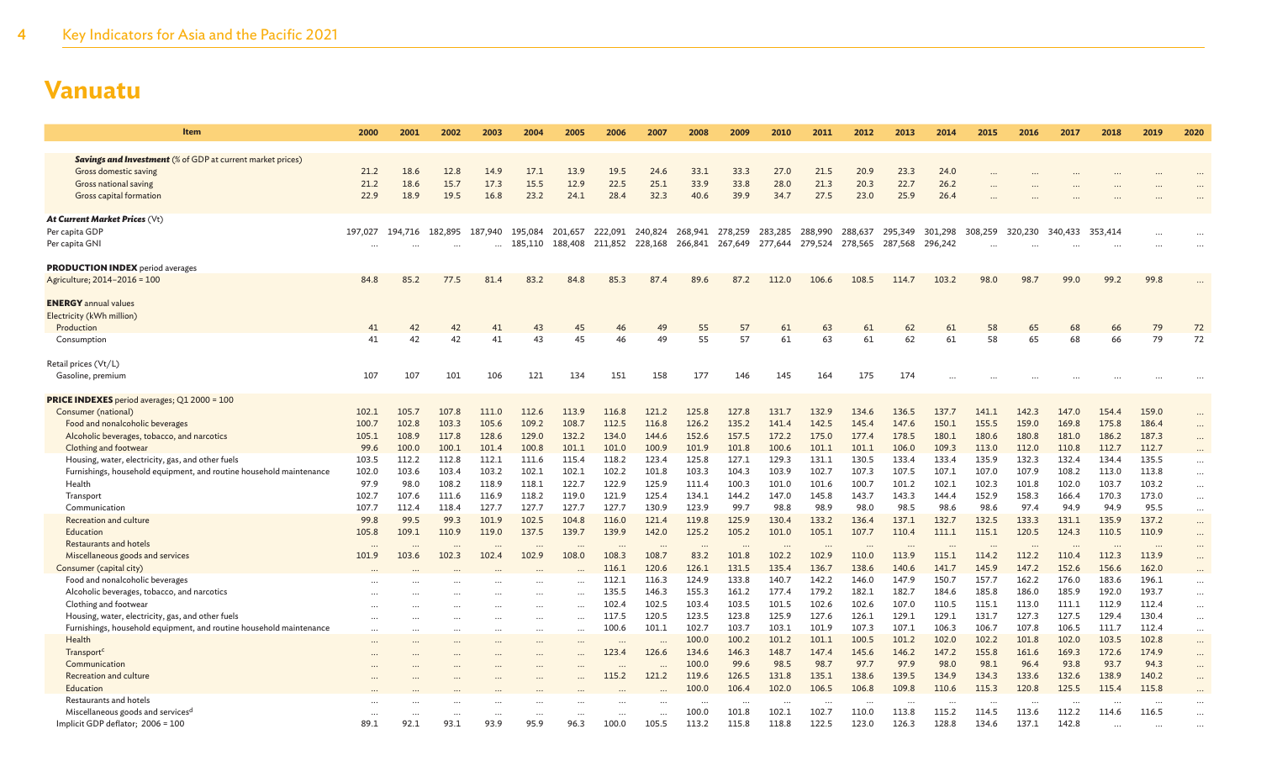| Item                                                                          | 2000     | 2001    | 2002      | 2003        | 2004      | 2005      | 2006               | 2007            | 2008           | 2009                    | 2010           | 2011           | 2012            | 2013           | 2014           | 2015           | 2016           | 2017           | 2018           | 2019           | 2020                 |
|-------------------------------------------------------------------------------|----------|---------|-----------|-------------|-----------|-----------|--------------------|-----------------|----------------|-------------------------|----------------|----------------|-----------------|----------------|----------------|----------------|----------------|----------------|----------------|----------------|----------------------|
| <b>Savings and Investment</b> (% of GDP at current market prices)             |          |         |           |             |           |           |                    |                 |                |                         |                |                |                 |                |                |                |                |                |                |                |                      |
| Gross domestic saving                                                         | 21.2     | 18.6    | 12.8      | 14.9        | 17.1      | 13.9      | 19.5               | 24.6            | 33.1           | 33.3                    | 27.0           | 21.5           | 20.9            | 23.3           | 24.0           |                |                |                |                |                |                      |
| Gross national saving                                                         | 21.2     | 18.6    | 15.7      | 17.3        | 15.5      | 12.9      | 22.5               | 25.1            | 33.9           | 33.8                    | 28.0           | 21.3           | 20.3            | 22.7           | 26.2           |                |                |                |                |                |                      |
| Gross capital formation                                                       | 22.9     | 18.9    | 19.5      | 16.8        | 23.2      | 24.1      | 28.4               | 32.3            | 40.6           | 39.9                    | 34.7           | 27.5           | 23.0            | 25.9           | 26.4           |                |                |                |                |                |                      |
|                                                                               |          |         |           |             |           |           |                    |                 |                |                         |                |                |                 |                |                |                |                |                |                |                |                      |
| At Current Market Prices (Vt)                                                 |          |         |           |             |           |           |                    |                 |                |                         |                |                |                 |                |                |                |                |                |                |                |                      |
| Per capita GDP                                                                | 197.027  | 194,716 | 182,895   | .940<br>187 | 195,084   | 201,657   | 222,091            | 240,824         | 268,941        | 278,259                 | 283.285        | 288,990        | 288,637         | 295,349        | 301,298        | 308,259        | 320,230        | 340,433        | 353,414        |                |                      |
| Per capita GNI                                                                |          |         |           | $\cdots$    | 185,110   | 188,408   |                    | 211,852 228,168 | 266,841        | 267,649 277,644 279,524 |                |                | 278,565 287,568 |                | 296,242        |                |                |                |                |                |                      |
| <b>PRODUCTION INDEX</b> period averages                                       |          |         |           |             |           |           |                    |                 |                |                         |                |                |                 |                |                |                |                |                |                |                |                      |
| Agriculture; 2014-2016 = 100                                                  | 84.8     | 85.2    | 77.5      | 81.4        | 83.2      | 84.8      | 85.3               | 87.4            | 89.6           | 87.2                    | 112.0          | 106.6          | 108.5           | 114.7          | 103.2          | 98.0           | 98.7           | 99.0           | 99.2           | 99.8           |                      |
| <b>ENERGY</b> annual values<br>Electricity (kWh million)                      |          |         |           |             |           |           |                    |                 |                |                         |                |                |                 |                |                |                |                |                |                |                |                      |
| Production                                                                    | 41       | 42      | 42        | 41          | 43        | 45        | 46                 | 49              | 55             | 57                      | 61             | 63             | 61              | 62             | 61             | 58             | 65             | 68             | 66             | 79             | 72                   |
| Consumption                                                                   | 41       | 42      | 42        | 41          | 43        | 45        | 46                 | 49              | 55             | 57                      | 61             | 63             | 61              | 62             | 61             | 58             | 65             | 68             | 66             | 79             | 72                   |
| Retail prices (Vt/L)                                                          |          |         |           |             |           |           |                    |                 |                |                         |                |                |                 |                |                |                |                |                |                |                |                      |
| Gasoline, premium                                                             | 107      | 107     | 101       | 106         | 121       | 134       | 151                | 158             | 177            | 146                     | 145            | 164            | 175             | 174            |                |                |                |                |                |                |                      |
|                                                                               |          |         |           |             |           |           |                    |                 |                |                         |                |                |                 |                |                |                |                |                |                |                |                      |
| <b>PRICE INDEXES</b> period averages; Q1 2000 = 100                           |          |         |           |             |           |           |                    |                 |                |                         |                |                |                 |                |                |                |                |                |                |                |                      |
| Consumer (national)                                                           | 102.1    | 105.7   | 107.8     | 111.0       | 112.6     | 113.9     | 116.8              | 121.2           | 125.8          | 127.8                   | 131.7          | 132.9          | 134.6           | 136.5          | 137.7          | 141.1          | 142.3          | 147.0          | 154.4          | 159.0          | $\cdots$             |
| Food and nonalcoholic beverages                                               | 100.7    | 102.8   | 103.3     | 105.6       | 109.2     | 108.7     | 112.5              | 116.8           | 126.2          | 135.2                   | 141.4          | 142.5          | 145.4           | 147.6          | 150.1          | 155.5          | 159.0          | 169.8          | 175.8          | 186.4          | $\cdots$             |
| Alcoholic beverages, tobacco, and narcotics                                   | 105.1    | 108.9   | 117.8     | 128.6       | 129.0     | 132.2     | 134.0              | 144.6           | 152.6          | 157.5                   | 172.2          | 175.0          | 177.4           | 178.5          | 180.1          | 180.6          | 180.8          | 181.0          | 186.2          | 187.3          | $\cdots$             |
| Clothing and footwear                                                         | 99.6     | 100.0   | 100.1     | 101.4       | 100.8     | 101.1     | 101.0              | 100.9           | 101.9          | 101.8                   | 100.6          | 101.1          | 101.1           | 106.0          | 109.3          | 113.0          | 112.0          | 110.8          | 112.7          | 112.7          | $\cdots$             |
| Housing, water, electricity, gas, and other fuels                             | 103.5    | 112.2   | 112.8     | 112.1       | 111.6     | 115.4     | 118.2              | 123.4           | 125.8          | 127.1                   | 129.3          | 131.1          | 130.5           | 133.4          | 133.4          | 135.9          | 132.3          | 132.4          | 134.4          | 135.5          | $\cdots$             |
| Furnishings, household equipment, and routine household maintenance           | 102.0    | 103.6   | 103.4     | 103.2       | 102.1     | 102.1     | 102.2              | 101.8           | 103.3          | 104.3                   | 103.9          | 102.7          | 107.3           | 107.5          | 107.1          | 107.0          | 107.9          | 108.2          | 113.0          | 113.8          | $\cdots$             |
| Health                                                                        | 97.9     | 98.0    | 108.2     | 118.9       | 118.1     | 122.7     | 122.9              | 125.9           | 111.4          | 100.3                   | 101.0          | 101.6          | 100.7           | 101.2          | 102.1          | 102.3          | 101.8          | 102.0          | 103.7          | 103.2          | $\cdots$             |
| Transport                                                                     | 102.7    | 107.6   | 111.6     | 116.9       | 118.2     | 119.0     | 121.9              | 125.4           | 134.1          | 144.2                   | 147.0          | 145.8          | 143.7           | 143.3          | 144.4          | 152.9          | 158.3          | 166.4          | 170.3          | 173.0          | $\dots$              |
| Communication                                                                 | 107.7    | 112.4   | 118.4     | 127.7       | 127.7     | 127.7     | 127.7              | 130.9           | 123.9          | 99.7                    | 98.8           | 98.9           | 98.0            | 98.5           | 98.6           | 98.6           | 97.4           | 94.9           | 94.9           | 95.5           | $\cdots$             |
| <b>Recreation and culture</b>                                                 | 99.8     | 99.5    | 99.3      | 101.9       | 102.5     | 104.8     | 116.0              | 121.4           | 119.8          | 125.9                   | 130.4          | 133.2          | 136.4           | 137.1          | 132.7          | 132.5          | 133.3          | 131.1          | 135.9          | 137.2          | $\cdots$             |
| <b>Education</b>                                                              | 105.8    | 109.1   | 110.9     | 119.0       | 137.5     | 139.7     | 139.9              | 142.0           | 125.2          | 105.2                   | 101.0          | 105.1          | 107.7           | 110.4          | 111.1          | 115.1          | 120.5          | 124.3          | 110.5          | 110.9          |                      |
| Restaurants and hotels                                                        | $\cdots$ |         |           |             |           |           |                    |                 |                |                         |                |                |                 |                |                |                |                |                |                | $\ddots$       | $\cdots$             |
| Miscellaneous goods and services                                              | 101.9    | 103.6   | 102.3     | 102.4       | 102.9     | 108.0     | 108.3              | 108.7           | 83.2           | 101.8                   | 102.2          | 102.9          | 110.0           | 113.9          | 115.1          | 114.2          | 112.2          | 110.4          | 112.3          | 113.9          | $\cdots$             |
| Consumer (capital city)                                                       |          |         |           |             |           |           | 116.1              | 120.6           | 126.1          | 131.5                   | 135.4          | 136.7          | 138.6           | 140.6          | 141.7          | 145.9          | 147.2          | 152.6          | 156.6          | 162.0          |                      |
| Food and nonalcoholic beverages                                               |          |         |           |             |           |           | 112.1              | 116.3           | 124.9          | 133.8                   | 140.7          | 142.2          | 146.0           | 147.9          | 150.7          | 157.7          | 162.2          | 176.0          | 183.6          | 196.1          | $\cdots$             |
| Alcoholic beverages, tobacco, and narcotics                                   |          |         |           |             | $\ddotsc$ |           | 135.5              | 146.3<br>102.5  | 155.3          | 161.2                   | 177.4          | 179.2          | 182.1           | 182.7<br>107.0 | 184.6          | 185.8<br>115.1 | 186.0<br>113.0 | 185.9          | 192.0<br>112.9 | 193.7          | $\cdots$             |
| Clothing and footwear                                                         |          |         |           |             |           |           | 102.4<br>117.5     | 120.5           | 103.4<br>123.5 | 103.5<br>123.8          | 101.5<br>125.9 | 102.6<br>127.6 | 102.6<br>126.1  | 129.1          | 110.5<br>129.1 | 131.7          | 127.3          | 111.1<br>127.5 | 129.4          | 112.4<br>130.4 | $\cdots$             |
| Housing, water, electricity, gas, and other fuels                             |          |         |           | $\cdots$    | $\cdots$  | $\ddots$  | 100.6              | 101.1           | 102.7          | 103.7                   | 103.1          | 101.9          | 107.3           | 107.1          | 106.3          | 106.7          | 107.8          | 106.5          | 111.7          | 112.4          | $\cdots$             |
| Furnishings, household equipment, and routine household maintenance<br>Health | $\ddots$ |         | $\ddotsc$ |             | $\ddotsc$ | $\cdots$  |                    |                 | 100.0          | 100.2                   | 101.2          | 101.1          | 100.5           | 101.2          | 102.0          | 102.2          | 101.8          | 102.0          | 103.5          | 102.8          | $\cdots$             |
| Transport <sup>c</sup>                                                        | $\cdots$ |         | $\ddotsc$ | $\ddotsc$   | $\ddotsc$ | $\cdots$  | $\ddotsc$<br>123.4 | 126.6           | 134.6          | 146.3                   | 148.7          | 147.4          | 145.6           | 146.2          | 147.2          | 155.8          | 161.6          | 169.3          | 172.6          | 174.9          | $\cdots$             |
| Communication                                                                 |          |         |           |             |           | $\ddotsc$ |                    |                 | 100.0          | 99.6                    | 98.5           | 98.7           | 97.7            | 97.9           | 98.0           | 98.1           | 96.4           | 93.8           | 93.7           | 94.3           | $\cdots$             |
| Recreation and culture                                                        |          |         |           |             |           | $\ddotsc$ | $\ddotsc$<br>115.2 | 121.2           | 119.6          | 126.5                   | 131.8          | 135.1          | 138.6           | 139.5          | 134.9          | 134.3          | 133.6          | 132.6          | 138.9          | 140.2          | $\cdots$<br>$\cdots$ |
| Education                                                                     |          |         |           |             |           |           |                    |                 | 100.0          | 106.4                   | 102.0          | 106.5          | 106.8           | 109.8          | 110.6          | 115.3          | 120.8          | 125.5          | 115.4          | 115.8          | $\cdots$             |
| Restaurants and hotels                                                        |          |         |           |             |           |           |                    |                 |                |                         | $\cdots$       |                | $\ddotsc$       |                | $\cdots$       |                |                |                | $\ddotsc$      |                | $\cdots$             |
| Miscellaneous goods and services <sup>d</sup>                                 |          |         | $\cdots$  | $\cdots$    | $\ddotsc$ | $\cdots$  | $\cdots$           | $\ddots$        | 100.0          | 101.8                   | 102.1          | 102.7          | 110.0           | 113.8          | 115.2          | 114.5          | 113.6          | 112.2          | 114.6          | 116.5          | $\cdots$             |
| Implicit GDP deflator; 2006 = 100                                             | 89.1     | 92.1    | 93.1      | 93.9        | 95.9      | 96.3      | 100.0              | 105.5           | 113.2          | 115.8                   | 118.8          | 122.5          | 123.0           | 126.3          | 128.8          | 134.6          | 137.1          | 142.8          |                |                | $\ddot{\phantom{0}}$ |
|                                                                               |          |         |           |             |           |           |                    |                 |                |                         |                |                |                 |                |                |                |                |                |                |                |                      |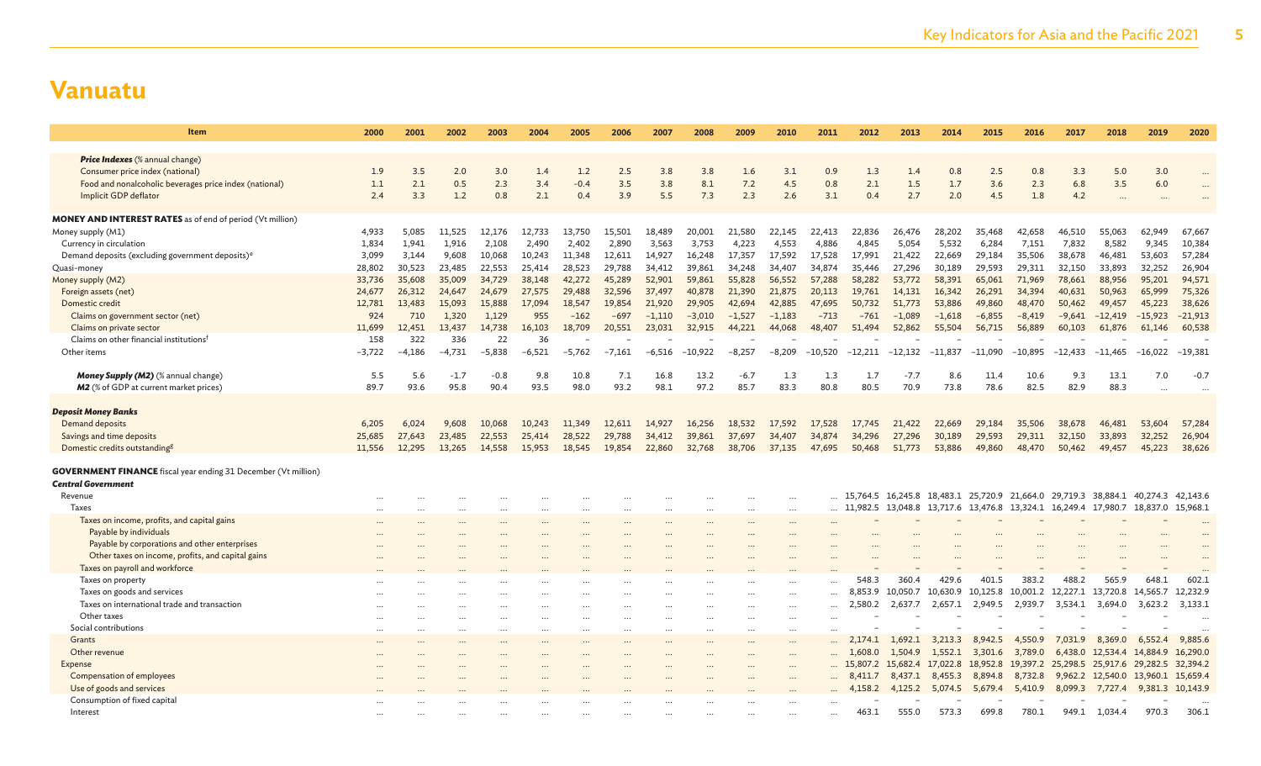| <b>Item</b>                                                                                        | 2000            | 2001            | 2002            | 2003           | 2004           | 2005     | 2006      | 2007     | 2008      | 2009     | 2010     | 2011      | 2012      | 2013      | 2014              | 2015              | 2016                                                                    | 2017      | 2018                       | 2019      | 2020      |
|----------------------------------------------------------------------------------------------------|-----------------|-----------------|-----------------|----------------|----------------|----------|-----------|----------|-----------|----------|----------|-----------|-----------|-----------|-------------------|-------------------|-------------------------------------------------------------------------|-----------|----------------------------|-----------|-----------|
|                                                                                                    |                 |                 |                 |                |                |          |           |          |           |          |          |           |           |           |                   |                   |                                                                         |           |                            |           |           |
| <b>Price Indexes</b> (% annual change)<br>Consumer price index (national)                          | 1.9             | 3.5             | 2.0             | 3.0            | 1.4            | 1.2      | 2.5       | 3.8      | 3.8       | 1.6      | 3.1      | 0.9       | 1.3       | 1.4       | 0.8               | 2.5               | 0.8                                                                     | 3.3       | 5.0                        | 3.0       |           |
| Food and nonalcoholic beverages price index (national)                                             | 1.1             | 2.1             | 0.5             | 2.3            | 3.4            | $-0.4$   | 3.5       | 3.8      | 8.1       | 7.2      | 4.5      | 0.8       | 2.1       | 1.5       | 1.7               | 3.6               | 2.3                                                                     | 6.8       | 3.5                        | 6.0       |           |
| Implicit GDP deflator                                                                              | 2.4             | 3.3             | 1.2             | 0.8            | 2.1            | 0.4      | 3.9       | 5.5      | 7.3       | 2.3      | 2.6      | 3.1       | 0.4       | 2.7       | 2.0               | 4.5               | 1.8                                                                     | 4.2       |                            |           |           |
|                                                                                                    |                 |                 |                 |                |                |          |           |          |           |          |          |           |           |           |                   |                   |                                                                         |           |                            |           |           |
| <b>MONEY AND INTEREST RATES</b> as of end of period (Vt million)                                   |                 |                 |                 |                |                |          |           |          |           |          |          |           |           |           |                   |                   |                                                                         |           |                            |           |           |
| Money supply (M1)                                                                                  | 4,933           | 5,085           | 11,525          | 12,176         | 12,733         | 13,750   | 15,501    | 18,489   | 20,001    | 21,580   | 22,145   | 22,413    | 22,836    | 26,476    | 28,202            | 35,468            | 42,658                                                                  | 46,510    | 55,063                     | 62,949    | 67,667    |
| Currency in circulation                                                                            | 1,834           | 1,941           | 1.916           | 2,108          | 2,490          | 2,402    | 2,890     | 3,563    | 3,753     | 4,223    | 4,553    | 4,886     | 4,845     | 5,054     | 5,532             | 6,284             | 7,151                                                                   | 7,832     | 8,582                      | 9,345     | 10,384    |
| Demand deposits (excluding government deposits) <sup>e</sup>                                       | 3,099           | 3,144           | 9,608           | 10,068         | 10.243         | 11,348   | 12,611    | 14,927   | 16,248    | 17,357   | 17,592   | 17,528    | 17,991    | 21,422    | 22,669            | 29,184            | 35,506                                                                  | 38,678    | 46,481                     | 53,603    | 57,284    |
| Quasi-money                                                                                        | 28,802          | 30,523          | 23,485          | 22,553         | 25,414         | 28,523   | 29,788    | 34,412   | 39,861    | 34,248   | 34,407   | 34,874    | 35,446    | 27,296    | 30,189            | 29,593            | 29,311                                                                  | 32,150    | 33,893                     | 32,252    | 26,904    |
| Money supply (M2)                                                                                  | 33,736          | 35,608          | 35,009          | 34,729         | 38,148         | 42,272   | 45,289    | 52,901   | 59,861    | 55,828   | 56,552   | 57,288    | 58,282    | 53,772    | 58,391            | 65,061            | 71,969                                                                  | 78,661    | 88,956                     | 95,201    | 94,571    |
| Foreign assets (net)                                                                               | 24,677          | 26,312          | 24,647          | 24,679         | 27,575         | 29,488   | 32,596    | 37,497   | 40,878    | 21,390   | 21,875   | 20,113    | 19,761    | 14,131    | 16,342            | 26,291            | 34,394                                                                  | 40,631    | 50,963                     | 65,999    | 75,326    |
| Domestic credit                                                                                    | 12,781          | 13,483          | 15,093          | 15,888         | 17,094         | 18,547   | 19,854    | 21,920   | 29,905    | 42,694   | 42,885   | 47,695    | 50,732    | 51,773    | 53,886            | 49,860            | 48,470                                                                  | 50,462    | 49,457                     | 45,223    | 38,626    |
| Claims on government sector (net)                                                                  | 924             | 710             | 1.320           | 1.129          | 955            | $-162$   | $-697$    | $-1,110$ | $-3,010$  | $-1,527$ | $-1,183$ | $-713$    | $-761$    | $-1,089$  | $-1,618$          | $-6,855$          | $-8,419$                                                                | $-9,641$  | $-12,419$                  | $-15,923$ | $-21,913$ |
| Claims on private sector                                                                           | 11,699          | 12,451          | 13,437          | 14,738         | 16,103         | 18,709   | 20,551    | 23,031   | 32,915    | 44,221   | 44,068   | 48,407    | 51,494    | 52,862    | 55,504            | 56,715            | 56,889                                                                  | 60,103    | 61,876                     | 61,146    | 60,538    |
| Claims on other financial institutions <sup>f</sup><br>Other items                                 | 158<br>$-3,722$ | 322<br>$-4.186$ | 336<br>$-4.731$ | 22<br>$-5.838$ | 36<br>$-6.521$ | $-5,762$ | $-7.161$  | -6.516   | $-10,922$ | $-8,257$ | $-8,209$ | $-10,520$ | $-12,211$ | $-12,132$ | $-11,837$         | $-11,090$         | $-10,895$                                                               | $-12,433$ | $-11.465$                  | $-16,022$ | $-19.381$ |
|                                                                                                    |                 |                 |                 |                |                |          |           |          |           |          |          |           |           |           |                   |                   |                                                                         |           |                            |           |           |
| Money Supply (M2) (% annual change)                                                                | 5.5             | 5.6             | $-1.7$          | $-0.8$         | 9.8            | 10.8     | 7.1       | 16.8     | 13.2      | $-6.7$   | 1.3      | 1.3       | 1.7       | $-7.7$    | 8.6               | 11.4              | 10.6                                                                    | 9.3       | 13.1                       | 7.0       | $-0.7$    |
| M2 (% of GDP at current market prices)                                                             | 89.7            | 93.6            | 95.8            | 90.4           | 93.5           | 98.0     | 93.2      | 98.1     | 97.2      | 85.7     | 83.3     | 80.8      | 80.5      | 70.9      | 73.8              | 78.6              | 82.5                                                                    | 82.9      | 88.3                       |           |           |
|                                                                                                    |                 |                 |                 |                |                |          |           |          |           |          |          |           |           |           |                   |                   |                                                                         |           |                            |           |           |
| <b>Deposit Money Banks</b>                                                                         |                 |                 |                 |                |                |          |           |          |           |          |          |           |           |           |                   |                   |                                                                         |           |                            |           |           |
| Demand deposits                                                                                    | 6,205           | 6,024           | 9,608           | 10,068         | 10,243         | 11,349   | 12,611    | 14,927   | 16,256    | 18,532   | 17.592   | 17,528    | 17,745    | 21,422    | 22,669            | 29,184            | 35,506                                                                  | 38,678    | 46,481                     | 53,604    | 57,284    |
| Savings and time deposits                                                                          | 25,685          | 27,643          | 23,485          | 22,553         | 25,414         | 28,522   | 29,788    | 34,412   | 39,861    | 37,697   | 34,407   | 34,874    | 34,296    | 27,296    | 30,189            | 29,593            | 29,311                                                                  | 32,150    | 33,893                     | 32,252    | 26,904    |
| Domestic credits outstanding <sup>g</sup>                                                          | 11,556          | 12,295          | 13,265          | 14,558         | 15,953         | 18,545   | 19,854    | 22,860   | 32,768    | 38,706   | 37,135   | 47,695    | 50,468    | 51,773    | 53,886            | 49,860            | 48,470                                                                  | 50,462    | 49,457                     | 45,223    | 38,626    |
|                                                                                                    |                 |                 |                 |                |                |          |           |          |           |          |          |           |           |           |                   |                   |                                                                         |           |                            |           |           |
| <b>GOVERNMENT FINANCE</b> fiscal year ending 31 December (Vt million)<br><b>Central Government</b> |                 |                 |                 |                |                |          |           |          |           |          |          |           |           |           |                   |                   |                                                                         |           |                            |           |           |
| Revenue                                                                                            |                 |                 |                 |                |                |          |           |          |           |          |          |           |           |           |                   |                   | 15,764.5 16,245.8 18,483.1 25,720.9 21,664.0 29,719.3 38,884.1 40,274.3 |           |                            |           | 42,143.6  |
| <b>Taxes</b>                                                                                       |                 |                 |                 |                |                |          |           |          |           |          | $\ddots$ |           | 11,982.5  | 13,048.8  | 13,717.6          |                   | 13,476.8 13,324.1 16,249.4 17,980.7                                     |           |                            | 18,837.0  | 15,968.1  |
| Taxes on income, profits, and capital gains                                                        |                 |                 |                 |                |                |          |           |          |           |          | $\cdots$ |           |           |           |                   |                   |                                                                         |           |                            |           |           |
| Payable by individuals                                                                             |                 |                 |                 |                |                |          |           |          |           |          |          |           |           |           |                   |                   |                                                                         |           |                            |           |           |
| Payable by corporations and other enterprises                                                      |                 |                 |                 |                |                |          |           |          |           |          |          |           |           |           |                   |                   |                                                                         |           |                            |           |           |
| Other taxes on income, profits, and capital gains                                                  |                 |                 |                 |                |                |          |           |          |           |          |          |           |           |           |                   |                   |                                                                         |           |                            |           |           |
| Taxes on payroll and workforce                                                                     |                 |                 |                 |                |                |          |           |          |           |          |          |           |           |           |                   |                   |                                                                         |           |                            |           |           |
| Taxes on property                                                                                  |                 |                 |                 |                |                | $\cdots$ |           |          |           |          |          |           | 548.3     | 360.4     | 429.6             | 401.5             | 383.2                                                                   | 488.2     | 565.9                      | 648.1     | 602.1     |
| Taxes on goods and services                                                                        |                 |                 |                 |                |                | $\cdots$ | $\ddotsc$ |          |           |          |          |           | 8.853.9   | 10.050.7  | 10,630.9          | 10,125.8          | 10,001.2                                                                | 12,227.1  | 13,720.8 14,565.7          |           | 12,232.9  |
| Taxes on international trade and transaction                                                       |                 |                 | $\cdots$        |                |                | $\cdots$ |           |          |           |          | $\cdots$ |           | 2,580.2   | 2,637.7   | 2,657.1           | 2,949.5           | 2,939.7                                                                 | 3,534.1   | 3,694.0                    | 3,623.2   | 3,133.1   |
| Other taxes                                                                                        |                 |                 | $\cdots$        |                |                | $\cdots$ |           |          |           |          | $\cdots$ |           |           |           |                   |                   |                                                                         |           |                            |           | $\cdots$  |
| Social contributions                                                                               |                 |                 | $\cdots$        | $\cdots$       | $\ddotsc$      | $\cdots$ | $\cdots$  | $\cdots$ | $\cdots$  | $\cdots$ | $\cdots$ |           |           |           |                   |                   |                                                                         |           |                            |           |           |
| Grants                                                                                             |                 |                 |                 |                |                |          |           |          |           | $\cdots$ | $\cdots$ |           | 2,174.1   | 1,692.1   | 3,213.3           | 8,942.5           | 4,550.9                                                                 | 7,031.9   | 8,369.0                    | 6,552.4   | 9,885.6   |
| Other revenue                                                                                      |                 |                 |                 |                |                | $\cdots$ |           |          |           |          | $\cdots$ |           | 1,608.0   | 1,504.9   | 1,552.1           |                   | 3,301.6 3,789.0                                                         | 6,438.0   | 12,534.4 14,884.9          |           | 16,290.0  |
| Expense                                                                                            |                 |                 |                 |                |                |          |           |          |           |          | $\cdots$ |           | 15,807.2  |           | 15,682.4 17,022.8 | 18,952.8 19,397.2 |                                                                         |           | 25,298.5 25,917.6 29,282.5 |           | 32,394.2  |
| Compensation of employees                                                                          |                 |                 |                 |                |                |          |           |          |           |          |          |           | 8,411.7   | 8,437.1   | 8,455.3           | 8,894.8           | 8,732.8                                                                 |           | 9,962.2 12,540.0 13,960.1  |           | 15,659.4  |
| Use of goods and services                                                                          |                 |                 |                 |                |                |          |           |          |           |          |          |           | 4,158.2   | 4,125.2   | 5,074.5           | 5,679.4           | 5,410.9                                                                 | 8,099.3   | 7,727.4                    | 9,381.3   | 10,143.9  |
| Consumption of fixed capital                                                                       |                 |                 |                 |                |                |          |           |          |           |          |          |           |           |           |                   |                   |                                                                         |           |                            |           |           |
| Interest                                                                                           |                 |                 |                 |                |                |          |           |          |           |          |          |           | 463.1     | 555.0     | 573.3             | 699.8             | 780.1                                                                   | 949.1     | 1,034.4                    | 970.3     | 306.1     |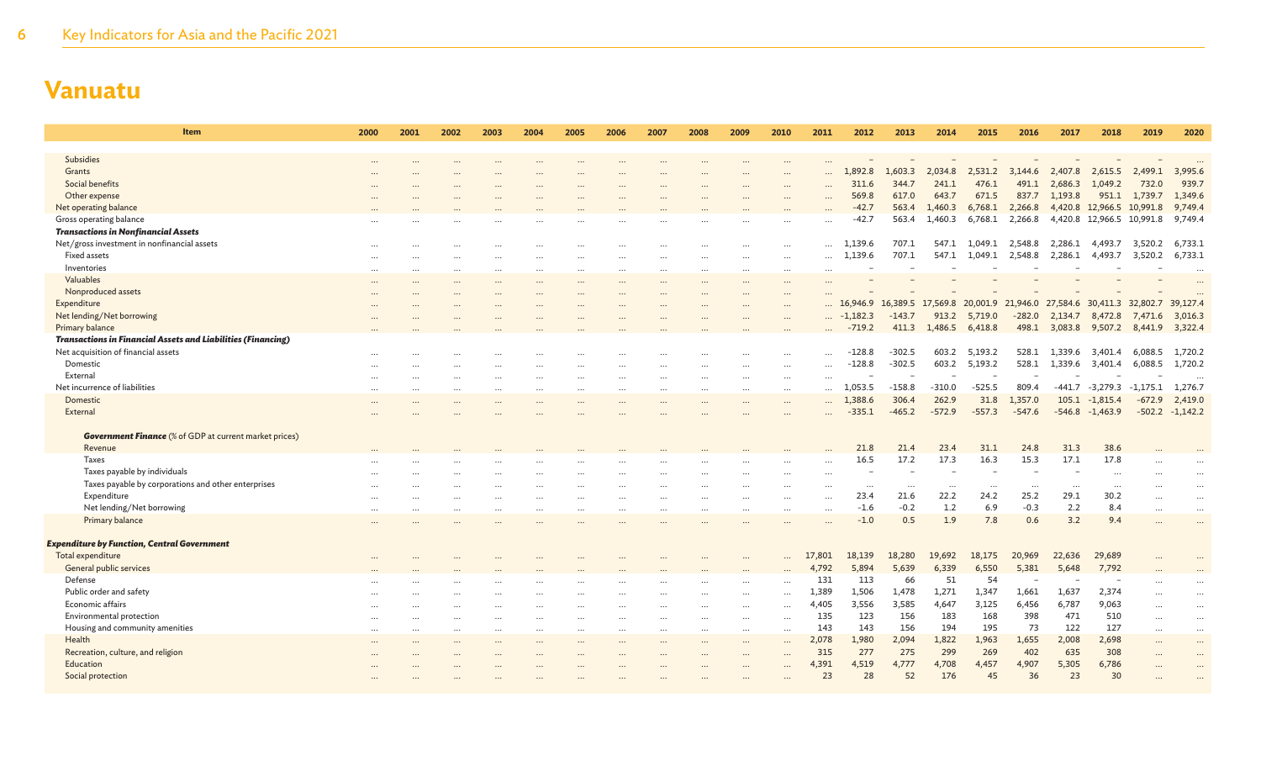| Item                                                                | 2000     | 2001 | 2002     | 2003     | 2004      | 2005                 | 2006     | 2007     | 2008      | 2009      | 2010      | 2011      | 2012       | 2013                                                                    | 2014     | 2015        | 2016     | 2017          | 2018                      | 2019            | 2020              |
|---------------------------------------------------------------------|----------|------|----------|----------|-----------|----------------------|----------|----------|-----------|-----------|-----------|-----------|------------|-------------------------------------------------------------------------|----------|-------------|----------|---------------|---------------------------|-----------------|-------------------|
|                                                                     |          |      |          |          |           |                      |          |          |           |           |           |           |            |                                                                         |          |             |          |               |                           |                 |                   |
| <b>Subsidies</b>                                                    |          |      |          |          |           |                      |          |          |           |           |           |           |            |                                                                         |          |             |          |               |                           |                 |                   |
| Grants                                                              |          |      |          |          |           |                      |          |          |           |           |           |           | 1,892.8    | 1,603.3                                                                 | 2,034.8  | 2,531.2     | 3,144.6  | 2,407.8       | 2,615.5                   | 2,499.1         | 3,995.6           |
| Social benefits                                                     |          |      |          |          |           |                      |          |          |           |           |           |           | 311.6      | 344.7                                                                   | 241.1    | 476.1       | 491.1    | 2,686.3       | 1,049.2                   | 732.0           | 939.7             |
| Other expense                                                       |          |      |          |          |           |                      |          |          |           |           | $\cdots$  |           | 569.8      | 617.0                                                                   | 643.7    | 671.5       | 837.7    | 1,193.8       | 951.1                     | 1,739.7         | 1,349.6           |
| Net operating balance                                               |          |      |          |          |           |                      |          |          |           |           |           |           | $-42.7$    | 563.4                                                                   | 1,460.3  | 6,768.1     | 2,266.8  |               | 4,420.8 12,966.5 10,991.8 |                 | 9,749.4           |
| Gross operating balance                                             |          |      |          |          |           |                      |          |          |           |           |           |           | $-42.7$    | 563.4                                                                   | 1,460.3  | 6,768.1     | 2,266.8  |               | 4,420.8 12,966.5 10,991.8 |                 | 9,749.4           |
| <b>Transactions in Nonfinancial Assets</b>                          |          |      |          |          |           |                      |          |          |           |           |           |           |            |                                                                         |          |             |          |               |                           |                 |                   |
| Net/gross investment in nonfinancial assets                         |          |      |          |          |           |                      |          |          |           |           | $\cdots$  |           | 1,139.6    | 707.1                                                                   | 547.1    | 1,049.1     | 2,548.8  | 2,286.1       |                           | 4,493.7 3,520.2 | 6,733.1           |
| Fixed assets                                                        | $\ddots$ |      |          |          |           |                      |          |          |           |           | $\cdots$  |           | 1,139.6    | 707.1                                                                   | 547.1    | 1,049.1     | 2,548.8  | 2,286.1       | 4,493.7                   | 3,520.2         | 6,733.1           |
| Inventories                                                         |          |      |          |          |           | $\ddot{\phantom{a}}$ |          |          |           |           | $\cdots$  |           |            |                                                                         |          |             |          |               |                           |                 |                   |
| Valuables                                                           | $\cdots$ |      |          |          |           | $\ddotsc$            |          |          | $\ddotsc$ | $\ddotsc$ | $\cdots$  |           |            |                                                                         |          |             |          |               |                           |                 |                   |
| Nonproduced assets                                                  |          |      |          |          |           |                      |          |          |           |           |           |           |            |                                                                         |          |             |          |               |                           |                 |                   |
| Expenditure                                                         |          |      |          |          |           |                      |          |          |           |           | $\cdots$  |           |            | 16,946.9 16,389.5 17,569.8 20,001.9 21,946.0 27,584.6 30,411.3 32,802.7 |          |             |          |               |                           |                 | 39,127.4          |
| Net lending/Net borrowing                                           |          |      |          |          |           |                      |          |          |           |           | $\cdots$  |           | $-1,182.3$ | $-143.7$                                                                | 913.2    | 5,719.0     | $-282.0$ | 2,134.7       | 8,472.8                   | 7,471.6         | 3,016.3           |
| <b>Primary balance</b>                                              |          |      |          |          |           |                      |          |          |           |           |           |           | $-719.2$   | 411.3                                                                   | 1,486.5  | 6,418.8     |          | 498.1 3,083.8 | 9,507.2 8,441.9           |                 | 3,322.4           |
| <b>Transactions in Financial Assets and Liabilities (Financing)</b> |          |      |          |          |           |                      |          |          |           |           |           |           |            |                                                                         |          |             |          |               |                           |                 |                   |
| Net acquisition of financial assets                                 |          |      |          |          |           |                      |          |          |           |           |           |           | $-128.8$   | $-302.5$                                                                | 603.2    | 5,193.2     | 528.1    | 1,339.6       | 3,401.4                   | 6,088.5         | 1,720.2           |
| Domestic                                                            |          |      |          |          |           |                      |          |          |           |           | $\cdots$  |           | $-128.8$   | $-302.5$                                                                | 603.2    | 5,193.2     | 528.1    | 1,339.6       | 3,401.4                   | 6,088.5         | 1,720.2           |
| External                                                            | $\cdots$ |      | $\cdots$ | $\cdots$ | $\cdots$  |                      |          | $\cdots$ | $\cdots$  | $\cdots$  | $\cdots$  |           |            |                                                                         |          |             |          |               |                           |                 |                   |
| Net incurrence of liabilities                                       |          |      |          |          | $\ddotsc$ |                      |          | $\cdots$ | $\ddotsc$ | $\cdots$  | $\cdots$  |           | 1,053.5    | $-158.8$                                                                | $-310.0$ | $-525.5$    | 809.4    | -441.7        | -3,279.3                  | $-1,175.1$      | 1,276.7           |
| Domestic                                                            |          |      |          |          |           |                      |          |          |           |           | $\cdots$  |           | 1,388.6    | 306.4                                                                   | 262.9    | 31.8        | 1,357.0  |               | $105.1 -1,815.4$          | $-672.9$        | 2,419.0           |
| External                                                            |          |      |          |          |           |                      |          |          |           |           |           |           | $-335.1$   | $-465.2$                                                                | $-572.9$ | $-557.3$    | $-547.6$ | $-546.8$      | $-1,463.9$                |                 | $-502.2 -1,142.2$ |
|                                                                     |          |      |          |          |           |                      |          |          |           |           |           |           |            |                                                                         |          |             |          |               |                           |                 |                   |
| <b>Government Finance</b> (% of GDP at current market prices)       |          |      |          |          |           |                      |          |          |           |           |           |           |            |                                                                         |          |             |          |               |                           |                 |                   |
| Revenue                                                             |          |      |          |          |           |                      |          |          |           |           |           |           | 21.8       | 21.4                                                                    | 23.4     | 31.1        | 24.8     | 31.3          | 38.6                      |                 |                   |
| Taxes                                                               |          |      |          |          |           |                      |          |          |           |           |           |           | 16.5       | 17.2                                                                    | 17.3     | 16.3        | 15.3     | 17.1          | 17.8                      |                 |                   |
| Taxes payable by individuals                                        |          |      |          |          |           |                      |          |          |           |           |           |           |            |                                                                         |          |             |          |               |                           |                 |                   |
| Taxes payable by corporations and other enterprises                 |          |      |          |          |           |                      |          |          |           |           |           | $\ddotsc$ | $\cdots$   | $\cdots$                                                                | .        |             | $\cdots$ |               |                           |                 |                   |
| Expenditure                                                         |          |      |          | $\cdots$ |           | $\ddotsc$            |          |          | $\ddotsc$ | $\ddotsc$ | $\cdots$  | $\cdots$  | 23.4       | 21.6                                                                    | 22.2     | 24.2        | 25.2     | 29.1          | 30.2                      |                 | $\cdots$          |
| Net lending/Net borrowing                                           | $\cdots$ |      |          | $\cdots$ | $\cdots$  | $\cdots$             |          | $\ddots$ | $\cdots$  | $\cdots$  | $\cdots$  |           | $-1.6$     | $-0.2$                                                                  | 1.2      | 6.9         | $-0.3$   | 2.2           | 8.4                       |                 | $\cdots$          |
| Primary balance                                                     |          |      |          |          |           |                      |          |          |           |           | $\cdots$  | $\ddotsc$ | $-1.0$     | 0.5                                                                     | 1.9      | 7.8         | 0.6      | 3.2           | 9.4                       |                 | $\ddots$          |
|                                                                     |          |      |          |          |           |                      |          |          |           |           |           |           |            |                                                                         |          |             |          |               |                           |                 |                   |
| <b>Expenditure by Function, Central Government</b>                  |          |      |          |          |           |                      |          |          |           |           |           |           |            |                                                                         |          |             |          |               |                           |                 |                   |
| Total expenditure                                                   |          |      |          |          |           |                      |          |          |           |           | $\ddotsc$ | 17,801    | 18,139     | 18,280                                                                  | 19,692   | 18,175      | 20,969   | 22,636        | 29,689                    |                 |                   |
| General public services                                             |          |      |          |          |           |                      |          |          |           |           |           | 4,792     | 5,894      | 5,639                                                                   | 6,339    | 6,550<br>54 | 5,381    | 5,648         | 7,792                     |                 |                   |
| Defense                                                             |          |      |          |          |           |                      |          |          |           |           | $\cdots$  | 131       | 113        | 66                                                                      | 51       |             |          |               |                           |                 |                   |
| Public order and safety                                             |          |      |          |          |           |                      |          |          |           |           | $\cdots$  | 1,389     | 1,506      | 1,478                                                                   | 1,271    | 1,347       | 1,661    | 1,637         | 2,374                     |                 | $\ddotsc$         |
| Economic affairs                                                    |          |      |          |          |           |                      |          |          |           | $\ddotsc$ | $\cdots$  | 4,405     | 3,556      | 3,585                                                                   | 4,647    | 3,125       | 6,456    | 6,787         | 9,063                     |                 | $\cdots$          |
| Environmental protection                                            | $\ddots$ |      |          | $\cdots$ |           | $\cdots$             |          |          | $\ddotsc$ | $\cdots$  | $\cdots$  | 135       | 123        | 156                                                                     | 183      | 168         | 398      | 471           | 510                       |                 | $\cdots$          |
| Housing and community amenities                                     | $\cdots$ |      | $\cdots$ | $\cdots$ |           | $\cdots$             | $\cdots$ |          | $\ddotsc$ |           | $\cdots$  | 143       | 143        | 156                                                                     | 194      | 195         | 73       | 122           | 127                       | $\cdots$        | $\cdots$          |
| Health                                                              |          |      |          |          |           |                      |          |          |           |           | $\cdots$  | 2,078     | 1,980      | 2,094                                                                   | 1,822    | 1,963       | 1,655    | 2,008         | 2,698                     |                 | $\cdots$          |
| Recreation, culture, and religion                                   |          |      |          |          |           |                      |          |          |           | $\cdots$  | $\cdots$  | 315       | 277        | 275                                                                     | 299      | 269         | 402      | 635           | 308                       |                 | $\cdots$          |
| Education                                                           |          |      |          |          |           |                      |          |          |           |           |           | 4,391     | 4,519      | 4,777                                                                   | 4,708    | 4,457       | 4,907    | 5,305         | 6,786                     |                 | $\ddotsc$         |
| Social protection                                                   |          |      |          |          |           |                      |          |          |           |           |           | 23        | 28         | 52                                                                      | 176      | 45          | 36       | 23            | 30                        |                 | $\ddotsc$         |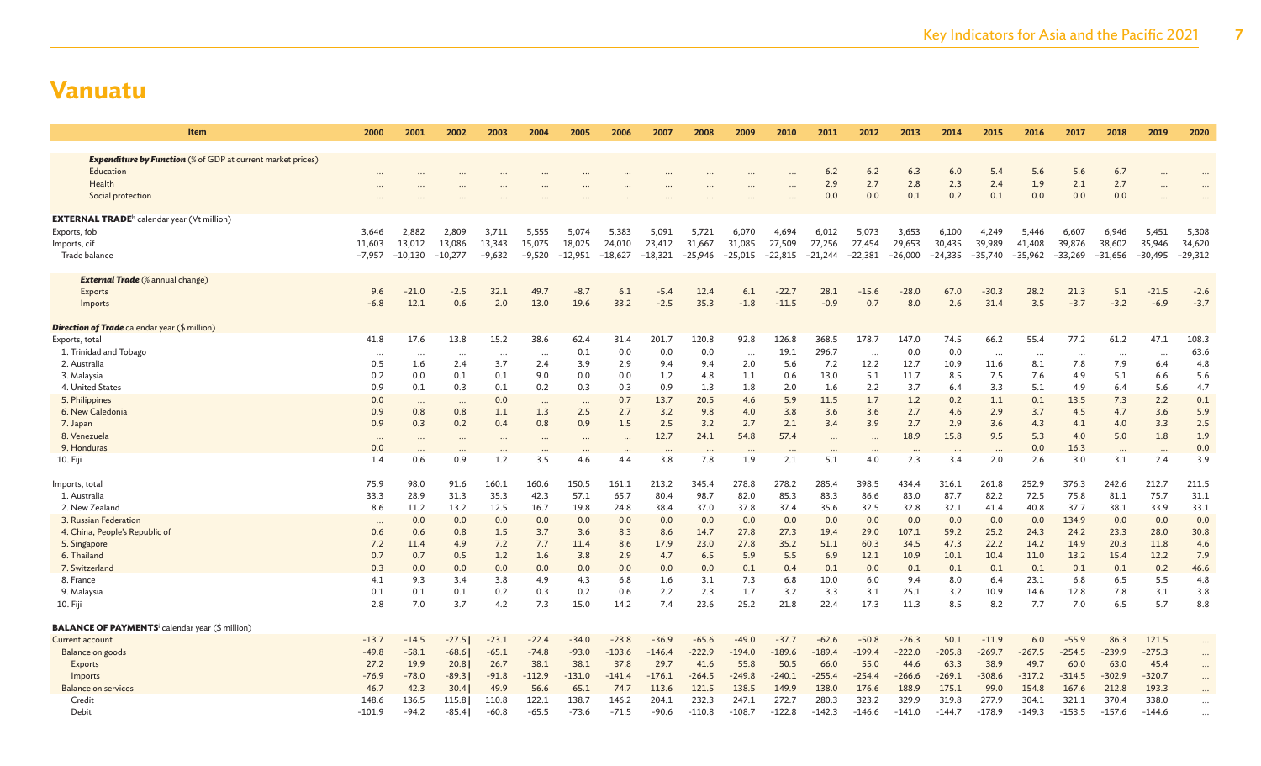| Item                                                                                                                                                                                                 | 2000                                                                             | 2001                                                                          | 2002                                                                                    | 2003                                                                          | 2004                                                                          | 2005                                                                            | 2006                                                                           | 2007                                                                           | 2008                                                                                          | 2009                                                                             | 2010                                                                             | 2011                                                                               | 2012                                                                                       | 2013                                                                                 | 2014                                                                             | 2015                                                                              | 2016                                                                               | 2017                                                                                | 2018                                                                             | 2019                                                                             | 2020                                                                            |
|------------------------------------------------------------------------------------------------------------------------------------------------------------------------------------------------------|----------------------------------------------------------------------------------|-------------------------------------------------------------------------------|-----------------------------------------------------------------------------------------|-------------------------------------------------------------------------------|-------------------------------------------------------------------------------|---------------------------------------------------------------------------------|--------------------------------------------------------------------------------|--------------------------------------------------------------------------------|-----------------------------------------------------------------------------------------------|----------------------------------------------------------------------------------|----------------------------------------------------------------------------------|------------------------------------------------------------------------------------|--------------------------------------------------------------------------------------------|--------------------------------------------------------------------------------------|----------------------------------------------------------------------------------|-----------------------------------------------------------------------------------|------------------------------------------------------------------------------------|-------------------------------------------------------------------------------------|----------------------------------------------------------------------------------|----------------------------------------------------------------------------------|---------------------------------------------------------------------------------|
| <b>Expenditure by Function</b> (% of GDP at current market prices)<br>Education<br>Health<br>Social protection                                                                                       |                                                                                  |                                                                               |                                                                                         |                                                                               |                                                                               |                                                                                 |                                                                                |                                                                                |                                                                                               |                                                                                  | $\cdot \cdot \cdot$                                                              | 6.2<br>2.9<br>0.0                                                                  | 6.2<br>2.7<br>0.0                                                                          | 6.3<br>2.8<br>0.1                                                                    | 6.0<br>2.3<br>0.2                                                                | 5.4<br>2.4<br>0.1                                                                 | 5.6<br>1.9<br>0.0                                                                  | 5.6<br>2.1<br>0.0                                                                   | 6.7<br>2.7<br>0.0                                                                |                                                                                  |                                                                                 |
| <b>EXTERNAL TRADE</b> <sup>h</sup> calendar year (Vt million)<br>Exports, fob<br>Imports, cif<br>Trade balance                                                                                       | 3,646<br>11,603<br>$-7,957$                                                      | 2,882<br>13,012<br>$-10,130$                                                  | 2,809<br>13,086<br>$-10,277$                                                            | 3,711<br>13,343<br>$-9,632$                                                   | 5,555<br>15,075<br>$-9,520$                                                   | 5,074<br>18,025<br>$-12,951$                                                    | 5,383<br>24,010<br>$-18,627$                                                   | 5,091<br>23,412<br>$-18,321$                                                   | 5,721<br>31,667<br>$-25,946$                                                                  | 6,070<br>31,085<br>-25,015                                                       | 4,694<br>27,509<br>$-22,815$                                                     | 6,012<br>27,256<br>$-21,244$                                                       | 5,073<br>27,454<br>$-22,381$                                                               | 3,653<br>29,653<br>$-26,000$                                                         | 6,100<br>30,435<br>$-24,335$                                                     | 4,249<br>39,989<br>$-35,740$                                                      | 5,446<br>41,408<br>$-35,962$                                                       | 6,607<br>39,876<br>-33,269                                                          | 6,946<br>38,602<br>$-31,656$                                                     | 5,451<br>35,946<br>$-30,495$                                                     | 5,308<br>34,620<br>$-29,312$                                                    |
| <b>External Trade</b> (% annual change)<br>Exports<br>Imports<br><b>Direction of Trade</b> calendar year (\$ million)                                                                                | 9.6<br>$-6.8$                                                                    | $-21.0$<br>12.1                                                               | $-2.5$<br>0.6                                                                           | 32.1<br>2.0                                                                   | 49.7<br>13.0                                                                  | $-8.7$<br>19.6                                                                  | 6.1<br>33.2                                                                    | $-5.4$<br>$-2.5$                                                               | 12.4<br>35.3                                                                                  | 6.1<br>$-1.8$                                                                    | $-22.7$<br>$-11.5$                                                               | 28.1<br>$-0.9$                                                                     | $-15.6$<br>0.7                                                                             | $-28.0$<br>8.0                                                                       | 67.0<br>2.6                                                                      | $-30.3$<br>31.4                                                                   | 28.2<br>3.5                                                                        | 21.3<br>$-3.7$                                                                      | 5.1<br>$-3.2$                                                                    | $-21.5$<br>$-6.9$                                                                | $-2.6$<br>$-3.7$                                                                |
| Exports, total<br>1. Trinidad and Tobago<br>2. Australia<br>3. Malaysia<br>4. United States<br>5. Philippines<br>6. New Caledonia<br>7. Japan<br>8. Venezuela<br>9. Honduras<br>10. Fiji             | 41.8<br><br>0.5<br>0.2<br>0.9<br>0.0<br>0.9<br>0.9<br>$\cdots$<br>0.0<br>1.4     | 17.6<br><br>1.6<br>0.0<br>0.1<br>$\ddots$<br>0.8<br>0.3<br>0.6                | 13.8<br>.<br>2.4<br>0.1<br>0.3<br>$\cdots$<br>0.8<br>0.2<br>$\cdots$<br>$\cdots$<br>0.9 | 15.2<br><br>3.7<br>0.1<br>0.1<br>0.0<br>1.1<br>0.4<br>1.2                     | 38.6<br>.<br>2.4<br>9.0<br>0.2<br>$\ddotsc$<br>1.3<br>0.8<br>3.5              | 62.4<br>0.1<br>3.9<br>0.0<br>0.3<br>$\ddots$<br>2.5<br>0.9<br>4.6               | 31.4<br>0.0<br>2.9<br>0.0<br>0.3<br>0.7<br>2.7<br>1.5<br><br>4.4               | 201.7<br>0.0<br>9.4<br>1.2<br>0.9<br>13.7<br>3.2<br>2.5<br>12.7<br>3.8         | 120.8<br>0.0<br>9.4<br>4.8<br>1.3<br>20.5<br>9.8<br>3.2<br>24.1<br>$\cdot \cdot \cdot$<br>7.8 | 92.8<br>$\cdots$<br>2.0<br>1.1<br>1.8<br>4.6<br>4.0<br>2.7<br>54.8<br>1.9        | 126.8<br>19.1<br>5.6<br>0.6<br>2.0<br>5.9<br>3.8<br>2.1<br>57.4<br>2.1           | 368.5<br>296.7<br>7.2<br>13.0<br>1.6<br>11.5<br>3.6<br>3.4<br><br>$\ddotsc$<br>5.1 | 178.7<br>$\cdots$<br>12.2<br>5.1<br>2.2<br>1.7<br>3.6<br>3.9<br>$\cdot \cdot \cdot$<br>4.0 | 147.0<br>0.0<br>12.7<br>11.7<br>3.7<br>1.2<br>2.7<br>2.7<br>18.9<br>$\bullet$<br>2.3 | 74.5<br>0.0<br>10.9<br>8.5<br>6.4<br>0.2<br>4.6<br>2.9<br>15.8<br>3.4            | 66.2<br>.<br>11.6<br>7.5<br>3.3<br>1.1<br>2.9<br>3.6<br>9.5<br>2.0                | 55.4<br>$\cdots$<br>8.1<br>7.6<br>5.1<br>0.1<br>3.7<br>4.3<br>5.3<br>0.0<br>2.6    | 77.2<br>$\cdots$<br>7.8<br>4.9<br>4.9<br>13.5<br>4.5<br>4.1<br>4.0<br>16.3<br>3.0   | 61.2<br><br>7.9<br>5.1<br>6.4<br>7.3<br>4.7<br>4.0<br>5.0<br>3.1                 | 47.1<br>$\cdots$<br>6.4<br>6.6<br>5.6<br>2.2<br>3.6<br>3.3<br>1.8<br>2.4         | 108.3<br>63.6<br>4.8<br>5.6<br>4.7<br>0.1<br>5.9<br>2.5<br>1.9<br>0.0<br>3.9    |
| Imports, total<br>1. Australia<br>2. New Zealand<br>3. Russian Federation<br>4. China, People's Republic of<br>5. Singapore<br>6. Thailand<br>7. Switzerland<br>8. France<br>9. Malaysia<br>10. Fiji | 75.9<br>33.3<br>8.6<br>$\cdots$<br>0.6<br>7.2<br>0.7<br>0.3<br>4.1<br>0.1<br>2.8 | 98.0<br>28.9<br>11.2<br>0.0<br>0.6<br>11.4<br>0.7<br>0.0<br>9.3<br>0.1<br>7.0 | 91.6<br>31.3<br>13.2<br>0.0<br>0.8<br>4.9<br>0.5<br>0.0<br>3.4<br>0.1<br>3.7            | 160.1<br>35.3<br>12.5<br>0.0<br>1.5<br>7.2<br>1.2<br>0.0<br>3.8<br>0.2<br>4.2 | 160.6<br>42.3<br>16.7<br>0.0<br>3.7<br>7.7<br>1.6<br>0.0<br>4.9<br>0.3<br>7.3 | 150.5<br>57.1<br>19.8<br>0.0<br>3.6<br>11.4<br>3.8<br>0.0<br>4.3<br>0.2<br>15.0 | 161.1<br>65.7<br>24.8<br>0.0<br>8.3<br>8.6<br>2.9<br>0.0<br>6.8<br>0.6<br>14.2 | 213.2<br>80.4<br>38.4<br>0.0<br>8.6<br>17.9<br>4.7<br>0.0<br>1.6<br>2.2<br>7.4 | 345.4<br>98.7<br>37.0<br>0.0<br>14.7<br>23.0<br>6.5<br>0.0<br>3.1<br>2.3<br>23.6              | 278.8<br>82.0<br>37.8<br>0.0<br>27.8<br>27.8<br>5.9<br>0.1<br>7.3<br>1.7<br>25.2 | 278.2<br>85.3<br>37.4<br>0.0<br>27.3<br>35.2<br>5.5<br>0.4<br>6.8<br>3.2<br>21.8 | 285.4<br>83.3<br>35.6<br>0.0<br>19.4<br>51.1<br>6.9<br>0.1<br>10.0<br>3.3<br>22.4  | 398.5<br>86.6<br>32.5<br>0.0<br>29.0<br>60.3<br>12.1<br>0.0<br>6.0<br>3.1<br>17.3          | 434.4<br>83.0<br>32.8<br>0.0<br>107.1<br>34.5<br>10.9<br>0.1<br>9.4<br>25.1<br>11.3  | 316.1<br>87.7<br>32.1<br>0.0<br>59.2<br>47.3<br>10.1<br>0.1<br>8.0<br>3.2<br>8.5 | 261.8<br>82.2<br>41.4<br>0.0<br>25.2<br>22.2<br>10.4<br>0.1<br>6.4<br>10.9<br>8.2 | 252.9<br>72.5<br>40.8<br>0.0<br>24.3<br>14.2<br>11.0<br>0.1<br>23.1<br>14.6<br>7.7 | 376.3<br>75.8<br>37.7<br>134.9<br>24.2<br>14.9<br>13.2<br>0.1<br>6.8<br>12.8<br>7.0 | 242.6<br>81.1<br>38.1<br>0.0<br>23.3<br>20.3<br>15.4<br>0.1<br>6.5<br>7.8<br>6.5 | 212.7<br>75.7<br>33.9<br>0.0<br>28.0<br>11.8<br>12.2<br>0.2<br>5.5<br>3.1<br>5.7 | 211.5<br>31.1<br>33.1<br>0.0<br>30.8<br>4.6<br>7.9<br>46.6<br>4.8<br>3.8<br>8.8 |
| <b>BALANCE OF PAYMENTS</b> <sup>i</sup> calendar year (\$ million)<br><b>Current account</b><br>Balance on goods<br><b>Exports</b><br>Imports<br><b>Balance on services</b><br>Credit<br>Debit       | $-13.7$<br>$-49.8$<br>27.2<br>$-76.9$<br>46.7<br>148.6<br>$-101.9$               | $-14.5$<br>$-58.1$<br>19.9<br>$-78.0$<br>42.3<br>136.5<br>$-94.2$             | $-27.5$<br>$-68.6$<br>20.8<br>$-89.3$<br>30.4<br>115.8<br>$-85.4$                       | $-23.1$<br>$-65.1$<br>26.7<br>$-91.8$<br>49.9<br>110.8<br>$-60.8$             | $-22.4$<br>$-74.8$<br>38.1<br>$-112.9$<br>56.6<br>122.1<br>$-65.5$            | $-34.0$<br>$-93.0$<br>38.1<br>$-131.0$<br>65.1<br>138.7<br>$-73.6$              | $-23.8$<br>$-103.6$<br>37.8<br>$-141.4$<br>74.7<br>146.2<br>$-71.5$            | $-36.9$<br>$-146.4$<br>29.7<br>$-176.1$<br>113.6<br>204.1<br>$-90.6$           | $-65.6$<br>$-222.9$<br>41.6<br>$-264.5$<br>121.5<br>232.3<br>$-110.8$                         | $-49.0$<br>$-194.0$<br>55.8<br>$-249.8$<br>138.5<br>247.1<br>$-108.7$            | $-37.7$<br>$-189.6$<br>50.5<br>$-240.1$<br>149.9<br>272.7<br>$-122.8$            | $-62.6$<br>$-189.4$<br>66.0<br>$-255.4$<br>138.0<br>280.3<br>$-142.3$              | $-50.8$<br>$-199.4$<br>55.0<br>$-254.4$<br>176.6<br>323.2<br>$-146.6$                      | $-26.3$<br>$-222.0$<br>44.6<br>$-266.6$<br>188.9<br>329.9<br>$-141.0$                | 50.1<br>$-205.8$<br>63.3<br>$-269.1$<br>175.1<br>319.8<br>$-144.7$               | $-11.9$<br>$-269.7$<br>38.9<br>$-308.6$<br>99.0<br>277.9<br>$-178.9$              | 6.0<br>$-267.5$<br>49.7<br>$-317.2$<br>154.8<br>304.1<br>$-149.3$                  | $-55.9$<br>$-254.5$<br>60.0<br>$-314.5$<br>167.6<br>321.1<br>$-153.5$               | 86.3<br>$-239.9$<br>63.0<br>$-302.9$<br>212.8<br>370.4<br>$-157.6$               | 121.5<br>$-275.3$<br>45.4<br>$-320.7$<br>193.3<br>338.0<br>$-144.6$              | $\cdots$<br>$\cdots$<br>$\cdots$<br>$\ddots$                                    |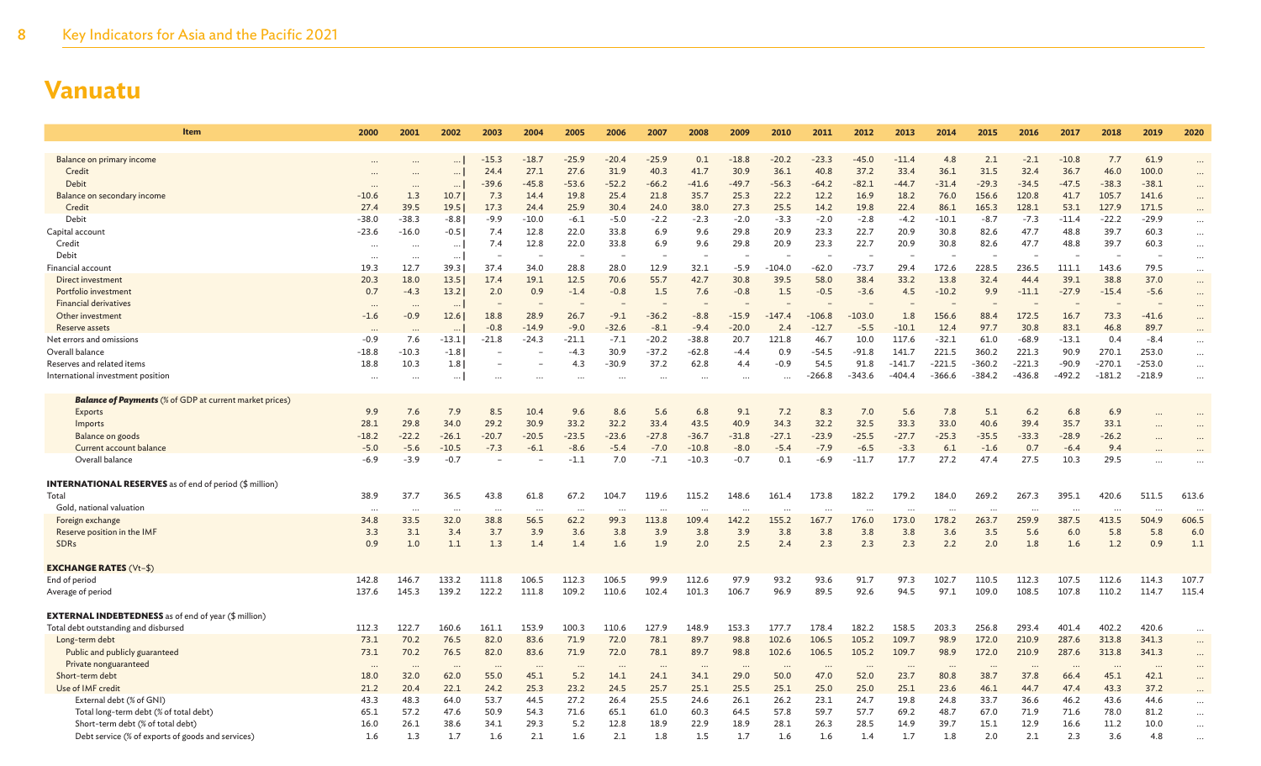| Item                                                           | 2000                  | 2001                 | 2002         | 2003           | 2004                 | 2005            | 2006            | 2007            | 2008            | 2009                 | 2010            | 2011            | 2012            | 2013            | 2014            | 2015             | 2016             | 2017            | 2018             | 2019             | 2020                 |
|----------------------------------------------------------------|-----------------------|----------------------|--------------|----------------|----------------------|-----------------|-----------------|-----------------|-----------------|----------------------|-----------------|-----------------|-----------------|-----------------|-----------------|------------------|------------------|-----------------|------------------|------------------|----------------------|
|                                                                |                       |                      |              |                |                      |                 |                 |                 |                 |                      |                 |                 |                 |                 |                 |                  |                  |                 |                  |                  |                      |
| Balance on primary income                                      |                       |                      | $\ddotsc$    | $-15.3$        | $-18.7$              | $-25.9$         | $-20.4$         | $-25.9$         | 0.1             | $-18.8$              | $-20.2$         | $-23.3$         | $-45.0$         | $-11.4$         | 4.8             | 2.1              | $-2.1$           | $-10.8$         | 7.7              | 61.9             |                      |
| Credit                                                         | $\cdots$              |                      | $\ldots$     | 24.4           | 27.1                 | 27.6            | 31.9            | 40.3            | 41.7            | 30.9                 | 36.1            | 40.8            | 37.2<br>$-82.1$ | 33.4            | 36.1            | 31.5             | 32.4             | 36.7            | 46.0             | 100.0            | $\ddots$             |
| Debit<br>Balance on secondary income                           | $\ddotsc$<br>$-10.6$  | $\cdots$<br>1.3      | $\cdots$     | $-39.6$<br>7.3 | $-45.8$<br>14.4      | $-53.6$<br>19.8 | $-52.2$<br>25.4 | $-66.2$<br>21.8 | $-41.6$<br>35.7 | $-49.7$<br>25.3      | $-56.3$<br>22.2 | $-64.2$<br>12.2 | 16.9            | $-44.7$<br>18.2 | $-31.4$<br>76.0 | $-29.3$<br>156.6 | $-34.5$<br>120.8 | $-47.5$<br>41.7 | $-38.3$<br>105.7 | $-38.1$<br>141.6 |                      |
| Credit                                                         | 27.4                  | 39.5                 | 10.7<br>19.5 | 17.3           | 24.4                 | 25.9            | 30.4            | 24.0            | 38.0            | 27.3                 | 25.5            | 14.2            | 19.8            | 22.4            | 86.1            | 165.3            | 128.1            | 53.1            | 127.9            | 171.5            | $\cdots$             |
| Debit                                                          | $-38.0$               | $-38.3$              | $-8.8$       | $-9.9$         | $-10.0$              | $-6.1$          | $-5.0$          | $-2.2$          | $-2.3$          | $-2.0$               | $-3.3$          | $-2.0$          | $-2.8$          | $-4.2$          | $-10.1$         | $-8.7$           | $-7.3$           | $-11.4$         | $-22.2$          | $-29.9$          |                      |
| Capital account                                                | $-23.6$               | $-16.0$              | $-0.5$       | 7.4            | 12.8                 | 22.0            | 33.8            | 6.9             | 9.6             | 29.8                 | 20.9            | 23.3            | 22.7            | 20.9            | 30.8            | 82.6             | 47.7             | 48.8            | 39.7             | 60.3             | $\cdots$             |
| Credit                                                         |                       |                      | $\cdots$     | 7.4            | 12.8                 | 22.0            | 33.8            | 6.9             | 9.6             | 29.8                 | 20.9            | 23.3            | 22.7            | 20.9            | 30.8            | 82.6             | 47.7             | 48.8            | 39.7             | 60.3             | $\ddots$<br>$\cdots$ |
| Debit                                                          | $\cdots$<br>$\ddotsc$ | $\cdots$<br>$\ddots$ | $\ldots$     |                |                      |                 |                 |                 |                 |                      |                 |                 |                 |                 |                 |                  |                  |                 |                  |                  | $\ddots$             |
| Financial account                                              | 19.3                  | 12.7                 | 39.3         | 37.4           | 34.0                 | 28.8            | 28.0            | 12.9            | 32.1            | -5.9                 | $-104.0$        | $-62.0$         | $-73.7$         | 29.4            | 172.6           | 228.5            | 236.5            | 111.1           | 143.6            | 79.5             | $\cdots$             |
| Direct investment                                              | 20.3                  | 18.0                 | 13.5         | 17.4           | 19.1                 | 12.5            | 70.6            | 55.7            | 42.7            | 30.8                 | 39.5            | 58.0            | 38.4            | 33.2            | 13.8            | 32.4             | 44.4             | 39.1            | 38.8             | 37.0             | $\cdots$             |
| Portfolio investment                                           | 0.7                   | $-4.3$               | 13.2         | 2.0            | 0.9                  | $-1.4$          | $-0.8$          | 1.5             | 7.6             | $-0.8$               | 1.5             | $-0.5$          | $-3.6$          | 4.5             | $-10.2$         | 9.9              | $-11.1$          | $-27.9$         | $-15.4$          | $-5.6$           | $\ddots$             |
| <b>Financial derivatives</b>                                   | $\cdots$              | $\cdots$             | $\cdots$     |                |                      |                 |                 |                 |                 |                      |                 |                 |                 |                 |                 |                  |                  |                 |                  |                  | $\cdots$             |
| Other investment                                               | $-1.6$                | $-0.9$               | 12.6         | 18.8           | 28.9                 | 26.7            | $-9.1$          | $-36.2$         | $-8.8$          | $-15.9$              | $-147.4$        | $-106.8$        | $-103.0$        | 1.8             | 156.6           | 88.4             | 172.5            | 16.7            | 73.3             | $-41.6$          | $\cdots$             |
| Reserve assets                                                 | $\cdots$              |                      | $\cdots$     | $-0.8$         | $-14.9$              | $-9.0$          | $-32.6$         | $-8.1$          | $-9.4$          | $-20.0$              | 2.4             | $-12.7$         | $-5.5$          | $-10.1$         | 12.4            | 97.7             | 30.8             | 83.1            | 46.8             | 89.7             |                      |
| Net errors and omissions                                       | $-0.9$                | 7.6                  | $-13.1$      | $-21.8$        | $-24.3$              | $-21.1$         | $-7.1$          | $-20.2$         | $-38.8$         | 20.7                 | 121.8           | 46.7            | 10.0            | 117.6           | $-32.1$         | 61.0             | $-68.9$          | $-13.1$         | 0.4              | $-8.4$           | $\cdots$             |
| Overall balance                                                | $-18.8$               | $-10.3$              | $-1.8$       |                |                      | $-4.3$          | 30.9            | $-37.2$         | $-62.8$         | $-4.4$               | 0.9             | $-54.5$         | $-91.8$         | 141.7           | 221.5           | 360.2            | 221.3            | 90.9            | 270.1            | 253.0            | $\cdots$             |
| Reserves and related items                                     | 18.8                  | 10.3                 | 1.8          |                |                      | 4.3             | $-30.9$         | 37.2            | 62.8            | 4.4                  | $-0.9$          | 54.5            | 91.8            | $-141.7$        | $-221.5$        | $-360.2$         | $-221.3$         | $-90.9$         | $-270.1$         | $-253.0$         | $\cdots$             |
| International investment position                              |                       |                      | $\cdots$     |                |                      |                 |                 |                 |                 |                      |                 | $-266.8$        | -343.6          | $-404.4$        | $-366.6$        | -384.2           | -436.8           | $-492.2$        | $-181.2$         | $-218.9$         |                      |
| <b>Balance of Payments</b> (% of GDP at current market prices) |                       |                      |              |                |                      |                 |                 |                 |                 |                      |                 |                 |                 |                 |                 |                  |                  |                 |                  |                  |                      |
| Exports                                                        | 9.9                   | 7.6                  | 7.9          | 8.5            | 10.4                 | 9.6             | 8.6             | 5.6             | 6.8             | 9.1                  | 7.2             | 8.3             | 7.0             | 5.6             | 7.8             | 5.1              | 6.2              | 6.8             | 6.9              |                  |                      |
| Imports                                                        | 28.1                  | 29.8                 | 34.0         | 29.2           | 30.9                 | 33.2            | 32.2            | 33.4            | 43.5            | 40.9                 | 34.3            | 32.2            | 32.5            | 33.3            | 33.0            | 40.6             | 39.4             | 35.7            | 33.1             |                  |                      |
| Balance on goods                                               | $-18.2$               | $-22.2$              | $-26.1$      | $-20.7$        | $-20.5$              | $-23.5$         | $-23.6$         | $-27.8$         | $-36.7$         | $-31.8$              | $-27.1$         | $-23.9$         | $-25.5$         | $-27.7$         | $-25.3$         | $-35.5$          | $-33.3$          | $-28.9$         | $-26.2$          |                  |                      |
| Current account balance                                        | $-5.0$                | $-5.6$               | $-10.5$      | $-7.3$         | $-6.1$               | $-8.6$          | $-5.4$          | $-7.0$          | $-10.8$         | $-8.0$               | $-5.4$          | $-7.9$          | $-6.5$          | $-3.3$          | 6.1             | $-1.6$           | 0.7              | $-6.4$          | 9.4              |                  |                      |
| Overall balance                                                | $-6.9$                | $-3.9$               | $-0.7$       |                |                      | $-1.1$          | 7.0             | $-7.1$          | $-10.3$         | $-0.7$               | 0.1             | $-6.9$          | $-11.7$         | 17.7            | 27.2            | 47.4             | 27.5             | 10.3            | 29.5             |                  |                      |
| <b>INTERNATIONAL RESERVES</b> as of end of period (\$ million) |                       |                      |              |                |                      |                 |                 |                 |                 |                      |                 |                 |                 |                 |                 |                  |                  |                 |                  |                  |                      |
| Total                                                          | 38.9                  | 37.7                 | 36.5         | 43.8           | 61.8                 | 67.2            | 104.7           | 119.6           | 115.2           | 148.6                | 161.4           | 173.8           | 182.2           | 179.2           | 184.0           | 269.2            | 267.3            | 395.1           | 420.6            | 511.5            | 613.6                |
| Gold, national valuation                                       | $\cdots$              | $\cdots$             | $\cdots$     | $\ddots$       | $\ddot{\phantom{a}}$ | $\cdots$        | $\cdots$        | $\cdot$ .       |                 | $\ddot{\phantom{a}}$ | $\cdots$        |                 | $\cdots$        | $\cdots$        |                 |                  |                  |                 |                  |                  |                      |
| Foreign exchange                                               | 34.8                  | 33.5                 | 32.0         | 38.8           | 56.5                 | 62.2            | 99.3            | 113.8           | 109.4           | 142.2                | 155.2           | 167.7           | 176.0           | 173.0           | 178.2           | 263.7            | 259.9            | 387.5           | 413.5            | 504.9            | 606.5                |
| Reserve position in the IMF                                    | 3.3                   | 3.1                  | 3.4          | 3.7            | 3.9                  | 3.6             | 3.8             | 3.9             | 3.8             | 3.9                  | 3.8             | 3.8             | 3.8             | 3.8             | 3.6             | 3.5              | 5.6              | 6.0             | 5.8              | 5.8              | 6.0                  |
| <b>SDRs</b>                                                    | 0.9                   | 1.0                  | 1.1          | 1.3            | 1.4                  | 1.4             | 1.6             | 1.9             | 2.0             | 2.5                  | 2.4             | 2.3             | 2.3             | 2.3             | 2.2             | 2.0              | 1.8              | 1.6             | 1.2              | 0.9              | 1.1                  |
| <b>EXCHANGE RATES (Vt-\$)</b>                                  |                       |                      |              |                |                      |                 |                 |                 |                 |                      |                 |                 |                 |                 |                 |                  |                  |                 |                  |                  |                      |
| End of period                                                  | 142.8                 | 146.7                | 133.2        | 111.8          | 106.5                | 112.3           | 106.5           | 99.9            | 112.6           | 97.9                 | 93.2            | 93.6            | 91.7            | 97.3            | 102.7           | 110.5            | 112.3            | 107.5           | 112.6            | 114.3            | 107.7                |
| Average of period                                              | 137.6                 | 145.3                | 139.2        | 122.2          | 111.8                | 109.2           | 110.6           | 102.4           | 101.3           | 106.7                | 96.9            | 89.5            | 92.6            | 94.5            | 97.1            | 109.0            | 108.5            | 107.8           | 110.2            | 114.7            | 115.4                |
| <b>EXTERNAL INDEBTEDNESS</b> as of end of year (\$ million)    |                       |                      |              |                |                      |                 |                 |                 |                 |                      |                 |                 |                 |                 |                 |                  |                  |                 |                  |                  |                      |
| Total debt outstanding and disbursed                           | 112.3                 | 122.7                | 160.6        | 161.1          | 153.9                | 100.3           | 110.6           | 127.9           | 148.9           | 153.3                | 177.7           | 178.4           | 182.2           | 158.5           | 203.3           | 256.8            | 293.4            | 401.4           | 402.2            | 420.6            | $\cdots$             |
| Long-term debt                                                 | 73.1                  | 70.2                 | 76.5         | 82.0           | 83.6                 | 71.9            | 72.0            | 78.1            | 89.7            | 98.8                 | 102.6           | 106.5           | 105.2           | 109.7           | 98.9            | 172.0            | 210.9            | 287.6           | 313.8            | 341.3            | $\ddots$             |
| Public and publicly guaranteed                                 | 73.1                  | 70.2                 | 76.5         | 82.0           | 83.6                 | 71.9            | 72.0            | 78.1            | 89.7            | 98.8                 | 102.6           | 106.5           | 105.2           | 109.7           | 98.9            | 172.0            | 210.9            | 287.6           | 313.8            | 341.3            |                      |
| Private nonguaranteed                                          | $\cdots$              | $\ddotsc$            | $\cdots$     | $\cdots$       | $\ddotsc$            | $\cdots$        | $\ddotsc$       | $\ddots$        | $\cdots$        | $\ddotsc$            | $\cdots$        |                 | $\cdots$        | $\cdots$        |                 |                  |                  |                 |                  | $\ddots$         |                      |
| Short-term debt                                                | 18.0                  | 32.0                 | 62.0         | 55.0           | 45.1                 | 5.2             | 14.1            | 24.1            | 34.1            | 29.0                 | 50.0            | 47.0            | 52.0            | 23.7            | 80.8            | 38.7             | 37.8             | 66.4            | 45.1             | 42.1             |                      |
| Use of IMF credit                                              | 21.2                  | 20.4                 | 22.1         | 24.2           | 25.3                 | 23.2            | 24.5            | 25.7            | 25.1            | 25.5                 | 25.1            | 25.0            | 25.0            | 25.1            | 23.6            | 46.1             | 44.7             | 47.4            | 43.3             | 37.2             |                      |
| External debt (% of GNI)                                       | 43.3                  | 48.3                 | 64.0         | 53.7           | 44.5                 | 27.2            | 26.4            | 25.5            | 24.6            | 26.1                 | 26.2            | 23.1            | 24.7            | 19.8            | 24.8            | 33.7             | 36.6             | 46.2            | 43.6             | 44.6             |                      |
| Total long-term debt (% of total debt)                         | 65.1                  | 57.2                 | 47.6         | 50.9           | 54.3                 | 71.6            | 65.1            | 61.0            | 60.3            | 64.5                 | 57.8            | 59.7            | 57.7            | 69.2            | 48.7            | 67.0             | 71.9             | 71.6            | 78.0             | 81.2             | $\ddots$             |
| Short-term debt (% of total debt)                              | 16.0                  | 26.1                 | 38.6         | 34.1           | 29.3                 | 5.2             | 12.8            | 18.9            | 22.9            | 18.9                 | 28.1            | 26.3            | 28.5            | 14.9            | 39.7            | 15.1             | 12.9             | 16.6            | 11.2             | 10.0             | $\ddots$             |
| Debt service (% of exports of goods and services)              | 1.6                   | 1.3                  | 1.7          | 1.6            | 2.1                  | 1.6             | 2.1             | 1.8             | 1.5             | 1.7                  | 1.6             | 1.6             | 1.4             | 1.7             | 1.8             | 2.0              | 2.1              | 2.3             | 3.6              | 4.8              |                      |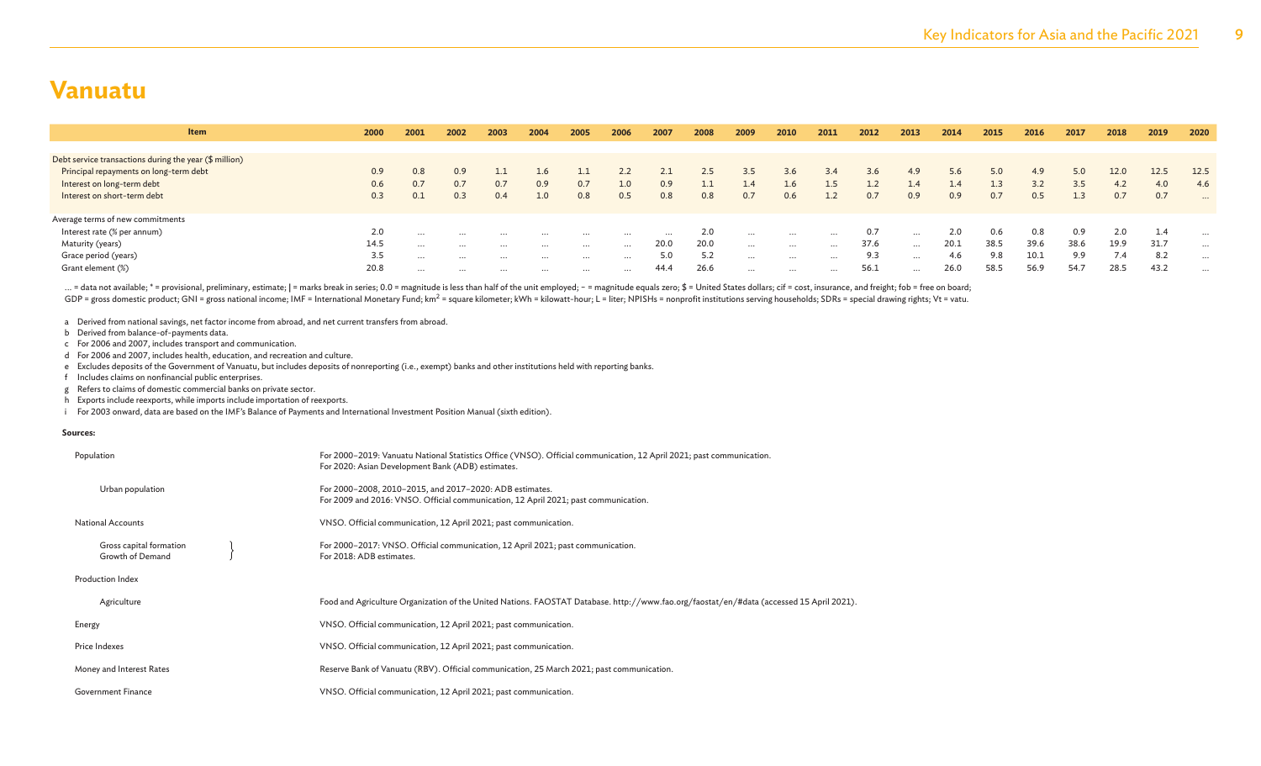| <b>Item</b>                                            | 2000 | 2001     | 2002     | 2003     | 2004             | 2005     | 2006     | 2007     | 2008 | 2009          | 2010     | 2011     | 2012 | 2013     | 2014 | 2015 | 2016 | 2017 | 2018 | 2019 | 2020     |
|--------------------------------------------------------|------|----------|----------|----------|------------------|----------|----------|----------|------|---------------|----------|----------|------|----------|------|------|------|------|------|------|----------|
|                                                        |      |          |          |          |                  |          |          |          |      |               |          |          |      |          |      |      |      |      |      |      |          |
| Debt service transactions during the year (\$ million) |      |          |          |          |                  |          |          |          |      |               |          |          |      |          |      |      |      |      |      |      |          |
| Principal repayments on long-term debt                 | 0.9  | 0.8      | 0.9      |          | 1.6 <sub>1</sub> |          |          |          | 2.5  | $3.5^{\circ}$ | 3.6      | 3.4      | 3.6  | 4.9      | 5.6  | 5.0  | 4.9  | 5.0  | 12.0 | 12.5 | 12.5     |
| Interest on long-term debt                             | 0.6  | 0.7      | 0.7      | 0.7      | 0.9              | 0.7      | 1.0      | 0.9      |      |               | 1.6      | $1.5\,$  |      | 1.4      | 1.4  | 1.3  | 3.2  | 3.5  | 4.2  | 4.0  | 4.6      |
| Interest on short-term debt                            | 0.3  | 0.1      | 0.3      | 0.4      | 1.0 <sub>1</sub> | 0.8      | 0.5      | 0.8      | 0.8  | 0.7           | 0.6      | 1.2      | 0.7  | 0.9      | 0.9  | 0.7  | 0.5  | 1.3  | 0.7  | 0.7  | $\cdots$ |
|                                                        |      |          |          |          |                  |          |          |          |      |               |          |          |      |          |      |      |      |      |      |      |          |
| Average terms of new commitments                       |      |          |          |          |                  |          |          |          |      |               |          |          |      |          |      |      |      |      |      |      |          |
| Interest rate (% per annum)                            | 2.0  | $\cdots$ | $\cdots$ | $\cdots$ | $\cdots$         | $\cdots$ | $\cdots$ | $\cdots$ | 2.0  | $\cdots$      | $\cdots$ | $\cdots$ | 0.7  | $\cdots$ | 2.0  | 0.6  | 0.8  | 0.9  | 2.0  | 1.4  | $\cdots$ |
| Maturity (years)                                       | 14.5 | $\cdots$ | $\cdots$ | $\cdots$ | $\cdots$         | $\cdots$ | $\cdots$ | 20.0     | 20.0 | $\cdots$      | $\cdots$ | $\cdots$ | 37.6 | $\cdots$ | 20.1 | 38.5 | 39.6 | 38.6 | 19.9 | 31.7 | $\cdots$ |
| Grace period (years)                                   | 3.5  | $\cdots$ | $\cdots$ | $\cdots$ | $\cdots$         | $\cdots$ | $\cdots$ | 5.0      | 5.2  | $\cdots$      | $\cdots$ | $\cdots$ | 9.3  | $\cdots$ | 4.6  | 9.8  | 10.1 | 9.9  |      | 8.2  | $\cdots$ |
| Grant element (%)                                      | 20.8 | $\cdots$ | $\cdots$ | $\cdots$ | $\cdots$         | $\cdots$ | $\cdots$ | 44.4     | 26.6 | $\cdots$      | $\cdots$ | $\cdots$ | 56.1 | $\cdots$ | 26.0 | 58.5 | 56.9 | 54.7 | 28.5 | 43.2 | $\cdots$ |

... = data not available; \* = provisional, preliminary, estimate; | = marks break in series; 0.0 = magnitude is less than half of the unit employed; - = magnitude equals zero; \$ = United States dollars; cif = cost, insuran GDP = gross domestic product; GNI = gross national income; IMF = International Monetary Fund; km<sup>2</sup> = square kilometer; kWh = kilowatt-hour; L = liter; NPISHs = nonprofit institutions serving households; SDRs = special dra

a Derived from national savings, net factor income from abroad, and net current transfers from abroad.

b Derived from balance-of-payments data.

c For 2006 and 2007, includes transport and communication.

d For 2006 and 2007, includes health, education, and recreation and culture.

e Excludes deposits of the Government of Vanuatu, but includes deposits of nonreporting (i.e., exempt) banks and other institutions held with reporting banks.

f Includes claims on nonfinancial public enterprises.

g Refers to claims of domestic commercial banks on private sector.

h Exports include reexports, while imports include importation of reexports.

i For 2003 onward, data are based on the IMF's Balance of Payments and International Investment Position Manual (sixth edition).

#### **Sources:**

| Population                                  | For 2000-2019: Vanuatu National Statistics Office (VNSO). Official communication, 12 April 2021; past communication.<br>For 2020: Asian Development Bank (ADB) estimates. |
|---------------------------------------------|---------------------------------------------------------------------------------------------------------------------------------------------------------------------------|
| Urban population                            | For 2000-2008, 2010-2015, and 2017-2020: ADB estimates.<br>For 2009 and 2016: VNSO. Official communication, 12 April 2021; past communication.                            |
| <b>National Accounts</b>                    | VNSO. Official communication, 12 April 2021; past communication.                                                                                                          |
| Gross capital formation<br>Growth of Demand | For 2000-2017: VNSO. Official communication, 12 April 2021; past communication.<br>For 2018: ADB estimates.                                                               |
| Production Index                            |                                                                                                                                                                           |
| Agriculture                                 | Food and Agriculture Organization of the United Nations. FAOSTAT Database. http://www.fao.org/faostat/en/#data (accessed 15 April 2021).                                  |
| Energy                                      | VNSO. Official communication, 12 April 2021; past communication.                                                                                                          |
| Price Indexes                               | VNSO. Official communication, 12 April 2021; past communication.                                                                                                          |
| Money and Interest Rates                    | Reserve Bank of Vanuatu (RBV). Official communication, 25 March 2021; past communication.                                                                                 |
| <b>Government Finance</b>                   | VNSO. Official communication, 12 April 2021; past communication.                                                                                                          |